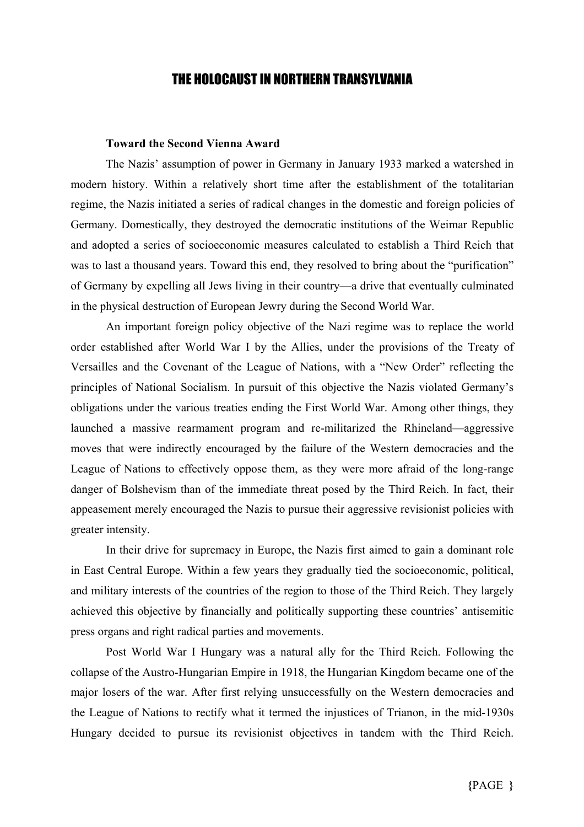# THE HOLOCAUST IN NORTHERN TRANSYLVANIA

#### **Toward the Second Vienna Award**

The Nazis' assumption of power in Germany in January 1933 marked a watershed in modern history. Within a relatively short time after the establishment of the totalitarian regime, the Nazis initiated a series of radical changes in the domestic and foreign policies of Germany. Domestically, they destroyed the democratic institutions of the Weimar Republic and adopted a series of socioeconomic measures calculated to establish a Third Reich that was to last a thousand years. Toward this end, they resolved to bring about the "purification" of Germany by expelling all Jews living in their country—a drive that eventually culminated in the physical destruction of European Jewry during the Second World War.

An important foreign policy objective of the Nazi regime was to replace the world order established after World War I by the Allies, under the provisions of the Treaty of Versailles and the Covenant of the League of Nations, with a "New Order" reflecting the principles of National Socialism. In pursuit of this objective the Nazis violated Germany's obligations under the various treaties ending the First World War. Among other things, they launched a massive rearmament program and re-militarized the Rhineland—aggressive moves that were indirectly encouraged by the failure of the Western democracies and the League of Nations to effectively oppose them, as they were more afraid of the long-range danger of Bolshevism than of the immediate threat posed by the Third Reich. In fact, their appeasement merely encouraged the Nazis to pursue their aggressive revisionist policies with greater intensity.

In their drive for supremacy in Europe, the Nazis first aimed to gain a dominant role in East Central Europe. Within a few years they gradually tied the socioeconomic, political, and military interests of the countries of the region to those of the Third Reich. They largely achieved this objective by financially and politically supporting these countries' antisemitic press organs and right radical parties and movements.

Post World War I Hungary was a natural ally for the Third Reich. Following the collapse of the Austro-Hungarian Empire in 1918, the Hungarian Kingdom became one of the major losers of the war. After first relying unsuccessfully on the Western democracies and the League of Nations to rectify what it termed the injustices of Trianon, in the mid-1930s Hungary decided to pursue its revisionist objectives in tandem with the Third Reich.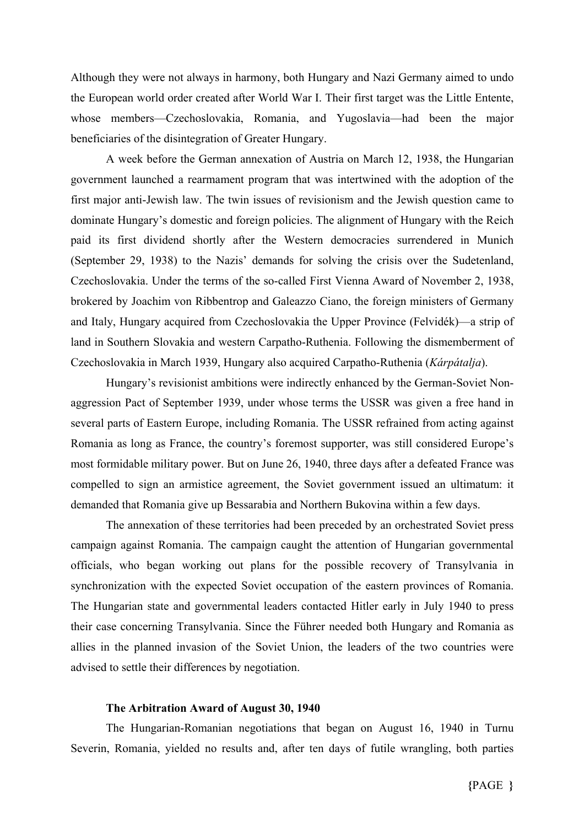Although they were not always in harmony, both Hungary and Nazi Germany aimed to undo the European world order created after World War I. Their first target was the Little Entente, whose members—Czechoslovakia, Romania, and Yugoslavia—had been the major beneficiaries of the disintegration of Greater Hungary.

A week before the German annexation of Austria on March 12, 1938, the Hungarian government launched a rearmament program that was intertwined with the adoption of the first major anti-Jewish law. The twin issues of revisionism and the Jewish question came to dominate Hungary's domestic and foreign policies. The alignment of Hungary with the Reich paid its first dividend shortly after the Western democracies surrendered in Munich (September 29, 1938) to the Nazis' demands for solving the crisis over the Sudetenland, Czechoslovakia. Under the terms of the so-called First Vienna Award of November 2, 1938, brokered by Joachim von Ribbentrop and Galeazzo Ciano, the foreign ministers of Germany and Italy, Hungary acquired from Czechoslovakia the Upper Province (Felvidék)—a strip of land in Southern Slovakia and western Carpatho-Ruthenia. Following the dismemberment of Czechoslovakia in March 1939, Hungary also acquired Carpatho-Ruthenia (*Kárpátalja*).

Hungary's revisionist ambitions were indirectly enhanced by the German-Soviet Nonaggression Pact of September 1939, under whose terms the USSR was given a free hand in several parts of Eastern Europe, including Romania. The USSR refrained from acting against Romania as long as France, the country's foremost supporter, was still considered Europe's most formidable military power. But on June 26, 1940, three days after a defeated France was compelled to sign an armistice agreement, the Soviet government issued an ultimatum: it demanded that Romania give up Bessarabia and Northern Bukovina within a few days.

The annexation of these territories had been preceded by an orchestrated Soviet press campaign against Romania. The campaign caught the attention of Hungarian governmental officials, who began working out plans for the possible recovery of Transylvania in synchronization with the expected Soviet occupation of the eastern provinces of Romania. The Hungarian state and governmental leaders contacted Hitler early in July 1940 to press their case concerning Transylvania. Since the Führer needed both Hungary and Romania as allies in the planned invasion of the Soviet Union, the leaders of the two countries were advised to settle their differences by negotiation.

#### **The Arbitration Award of August 30, 1940**

The Hungarian-Romanian negotiations that began on August 16, 1940 in Turnu Severin, Romania, yielded no results and, after ten days of futile wrangling, both parties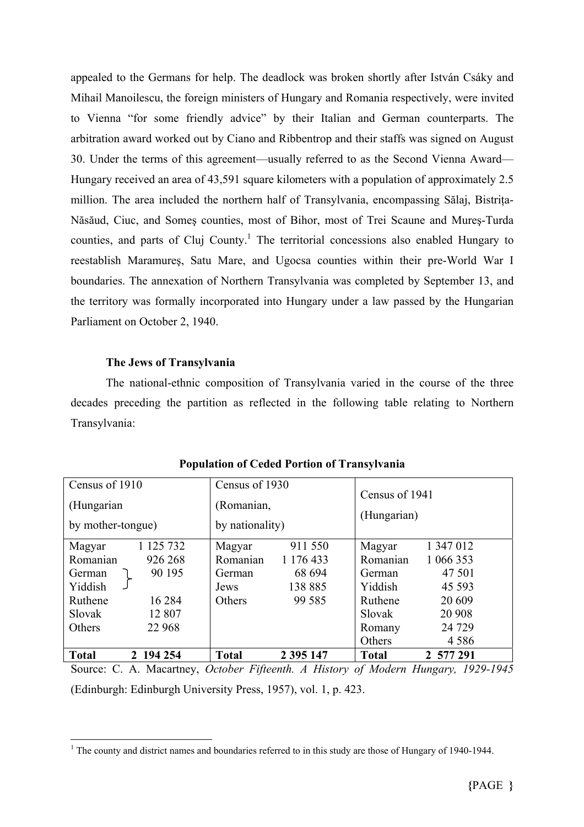appealed to the Germans for help. The deadlock was broken shortly after István Csáky and Mihail Manoilescu, the foreign ministers of Hungary and Romania respectively, were invited to Vienna "for some friendly advice" by their Italian and German counterparts. The arbitration award worked out by Ciano and Ribbentrop and their staffs was signed on August 30. Under the terms of this agreement—usually referred to as the Second Vienna Award— Hungary received an area of 43,591 square kilometers with a population of approximately 2.5 million. The area included the northern half of Transylvania, encompassing Sălaj, Bistrița-Năsăud, Ciuc, and Someş counties, most of Bihor, most of Trei Scaune and Mureş-Turda counties, and parts of Cluj County.<sup>[1](#page-2-0)</sup> The territorial concessions also enabled Hungary to reestablish Maramureş, Satu Mare, and Ugocsa counties within their pre-World War I boundaries. The annexation of Northern Transylvania was completed by September 13, and the territory was formally incorporated into Hungary under a law passed by the Hungarian Parliament on October 2, 1940.

# **The Jews of Transylvania**

The national-ethnic composition of Transylvania varied in the course of the three decades preceding the partition as reflected in the following table relating to Northern Transylvania:

| Census of 1910<br>(Hungarian<br>by mother-tongue) | Census of 1930<br>(Romanian,<br>by nationality) | Census of 1941<br>(Hungarian)                |
|---------------------------------------------------|-------------------------------------------------|----------------------------------------------|
| 1 125 732<br>Magyar<br>926 268<br>Romanian        | 911 550<br>Magyar<br>1 176 433<br>Romanian      | 1 347 012<br>Magyar<br>Romanian<br>1 066 353 |
| 90 195<br>German                                  | 68 694<br>German                                | 47 501<br>German                             |
| Yiddish                                           | 138 885<br>Jews                                 | Yiddish<br>45 5 93                           |
| 16 2 8 4<br>Ruthene                               | 99 585<br><b>Others</b>                         | 20 609<br>Ruthene                            |
| Slovak<br>12 807                                  |                                                 | 20 908<br>Slovak                             |
| 22 968<br>Others                                  |                                                 | 24 7 29<br>Romany                            |
|                                                   |                                                 | 4 5 8 6<br>Others                            |
| 2 194 254<br><b>Total</b>                         | <b>Total</b><br>2 395 147                       | 2 577 291<br><b>Total</b>                    |

**Population of Ceded Portion of Transylvania** 

Source: C. A. Macartney, *October Fifteenth. A History of Modern Hungary, 1929-1945*  (Edinburgh: Edinburgh University Press, 1957), vol. 1, p. 423.

<span id="page-2-0"></span><sup>&</sup>lt;sup>1</sup> The county and district names and boundaries referred to in this study are those of Hungary of 1940-1944.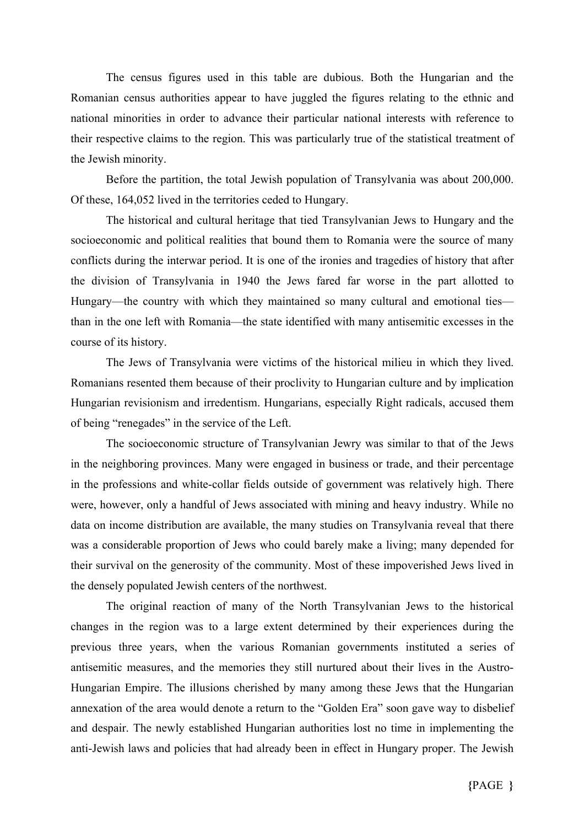The census figures used in this table are dubious. Both the Hungarian and the Romanian census authorities appear to have juggled the figures relating to the ethnic and national minorities in order to advance their particular national interests with reference to their respective claims to the region. This was particularly true of the statistical treatment of the Jewish minority.

Before the partition, the total Jewish population of Transylvania was about 200,000. Of these, 164,052 lived in the territories ceded to Hungary.

The historical and cultural heritage that tied Transylvanian Jews to Hungary and the socioeconomic and political realities that bound them to Romania were the source of many conflicts during the interwar period. It is one of the ironies and tragedies of history that after the division of Transylvania in 1940 the Jews fared far worse in the part allotted to Hungary—the country with which they maintained so many cultural and emotional ties than in the one left with Romania—the state identified with many antisemitic excesses in the course of its history.

The Jews of Transylvania were victims of the historical milieu in which they lived. Romanians resented them because of their proclivity to Hungarian culture and by implication Hungarian revisionism and irredentism. Hungarians, especially Right radicals, accused them of being "renegades" in the service of the Left.

The socioeconomic structure of Transylvanian Jewry was similar to that of the Jews in the neighboring provinces. Many were engaged in business or trade, and their percentage in the professions and white-collar fields outside of government was relatively high. There were, however, only a handful of Jews associated with mining and heavy industry. While no data on income distribution are available, the many studies on Transylvania reveal that there was a considerable proportion of Jews who could barely make a living; many depended for their survival on the generosity of the community. Most of these impoverished Jews lived in the densely populated Jewish centers of the northwest.

The original reaction of many of the North Transylvanian Jews to the historical changes in the region was to a large extent determined by their experiences during the previous three years, when the various Romanian governments instituted a series of antisemitic measures, and the memories they still nurtured about their lives in the Austro-Hungarian Empire. The illusions cherished by many among these Jews that the Hungarian annexation of the area would denote a return to the "Golden Era" soon gave way to disbelief and despair. The newly established Hungarian authorities lost no time in implementing the anti-Jewish laws and policies that had already been in effect in Hungary proper. The Jewish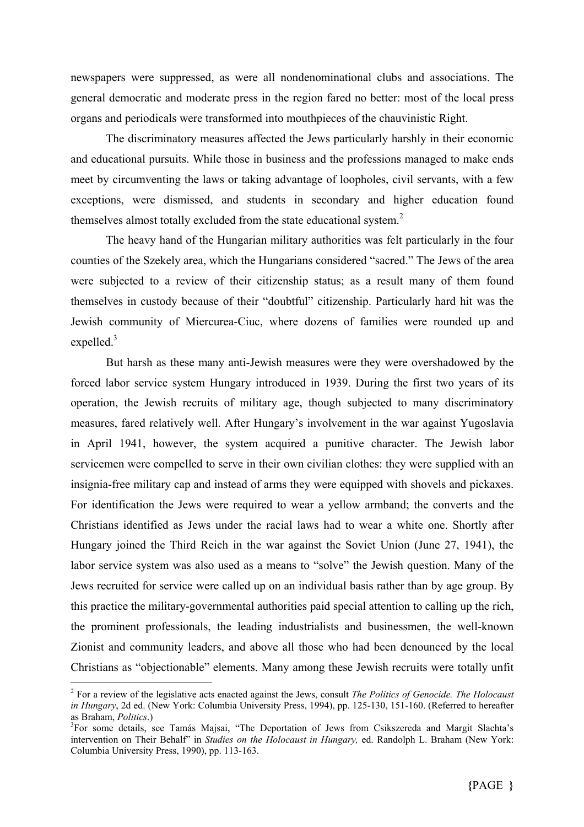newspapers were suppressed, as were all nondenominational clubs and associations. The general democratic and moderate press in the region fared no better: most of the local press organs and periodicals were transformed into mouthpieces of the chauvinistic Right.

The discriminatory measures affected the Jews particularly harshly in their economic and educational pursuits. While those in business and the professions managed to make ends meet by circumventing the laws or taking advantage of loopholes, civil servants, with a few exceptions, were dismissed, and students in secondary and higher education found themselves almost totally excluded from the state educational system.<sup>[2](#page-4-0)</sup>

The heavy hand of the Hungarian military authorities was felt particularly in the four counties of the Szekely area, which the Hungarians considered "sacred." The Jews of the area were subjected to a review of their citizenship status; as a result many of them found themselves in custody because of their "doubtful" citizenship. Particularly hard hit was the Jewish community of Miercurea-Ciuc, where dozens of families were rounded up and expelled. $3$ 

But harsh as these many anti-Jewish measures were they were overshadowed by the forced labor service system Hungary introduced in 1939. During the first two years of its operation, the Jewish recruits of military age, though subjected to many discriminatory measures, fared relatively well. After Hungary's involvement in the war against Yugoslavia in April 1941, however, the system acquired a punitive character. The Jewish labor servicemen were compelled to serve in their own civilian clothes: they were supplied with an insignia-free military cap and instead of arms they were equipped with shovels and pickaxes. For identification the Jews were required to wear a yellow armband; the converts and the Christians identified as Jews under the racial laws had to wear a white one. Shortly after Hungary joined the Third Reich in the war against the Soviet Union (June 27, 1941), the labor service system was also used as a means to "solve" the Jewish question. Many of the Jews recruited for service were called up on an individual basis rather than by age group. By this practice the military-governmental authorities paid special attention to calling up the rich, the prominent professionals, the leading industrialists and businessmen, the well-known Zionist and community leaders, and above all those who had been denounced by the local Christians as "objectionable" elements. Many among these Jewish recruits were totally unfit

<span id="page-4-0"></span><sup>2</sup> For a review of the legislative acts enacted against the Jews, consult *The Politics of Genocide. The Holocaust in Hungary*, 2d ed. (New York: Columbia University Press, 1994), pp. 125-130, 151-160. (Referred to hereafter as Braham, *Politics*.) 3

<span id="page-4-1"></span><sup>&</sup>lt;sup>3</sup>For some details, see Tamás Majsai, "The Deportation of Jews from Csikszereda and Margit Slachta's intervention on Their Behalf" in *Studies on the Holocaust in Hungary,* ed. Randolph L. Braham (New York: Columbia University Press, 1990), pp. 113-163.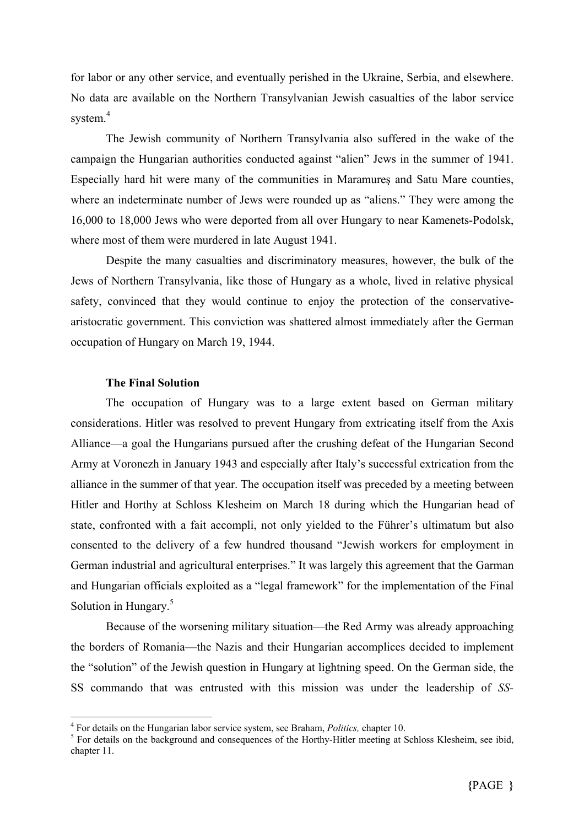for labor or any other service, and eventually perished in the Ukraine, Serbia, and elsewhere. No data are available on the Northern Transylvanian Jewish casualties of the labor service system. [4](#page-5-0)

The Jewish community of Northern Transylvania also suffered in the wake of the campaign the Hungarian authorities conducted against "alien" Jews in the summer of 1941. Especially hard hit were many of the communities in Maramureş and Satu Mare counties, where an indeterminate number of Jews were rounded up as "aliens." They were among the 16,000 to 18,000 Jews who were deported from all over Hungary to near Kamenets-Podolsk, where most of them were murdered in late August 1941.

Despite the many casualties and discriminatory measures, however, the bulk of the Jews of Northern Transylvania, like those of Hungary as a whole, lived in relative physical safety, convinced that they would continue to enjoy the protection of the conservativearistocratic government. This conviction was shattered almost immediately after the German occupation of Hungary on March 19, 1944.

# **The Final Solution**

 $\overline{a}$ 

The occupation of Hungary was to a large extent based on German military considerations. Hitler was resolved to prevent Hungary from extricating itself from the Axis Alliance—a goal the Hungarians pursued after the crushing defeat of the Hungarian Second Army at Voronezh in January 1943 and especially after Italy's successful extrication from the alliance in the summer of that year. The occupation itself was preceded by a meeting between Hitler and Horthy at Schloss Klesheim on March 18 during which the Hungarian head of state, confronted with a fait accompli, not only yielded to the Führer's ultimatum but also consented to the delivery of a few hundred thousand "Jewish workers for employment in German industrial and agricultural enterprises." It was largely this agreement that the Garman and Hungarian officials exploited as a "legal framework" for the implementation of the Final Solutionin Hungary.<sup>5</sup>

Because of the worsening military situation—the Red Army was already approaching the borders of Romania—the Nazis and their Hungarian accomplices decided to implement the "solution" of the Jewish question in Hungary at lightning speed. On the German side, the SS commando that was entrusted with this mission was under the leadership of *SS-*

<span id="page-5-0"></span> $^{4}$  For details on the Hungarian labor service system, see Braham, *Politics*, chapter 10.

<span id="page-5-1"></span><sup>&</sup>lt;sup>5</sup> For details on the background and consequences of the Horthy-Hitler meeting at Schloss Klesheim, see ibid, chapter 11.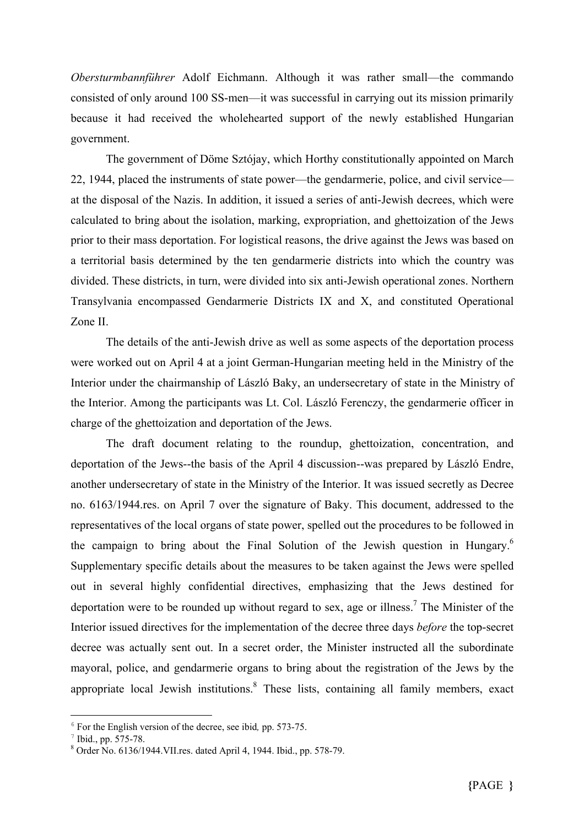*Obersturmbannführer* Adolf Eichmann. Although it was rather small—the commando consisted of only around 100 SS-men—it was successful in carrying out its mission primarily because it had received the wholehearted support of the newly established Hungarian government.

The government of Döme Sztójay, which Horthy constitutionally appointed on March 22, 1944, placed the instruments of state power—the gendarmerie, police, and civil service at the disposal of the Nazis. In addition, it issued a series of anti-Jewish decrees, which were calculated to bring about the isolation, marking, expropriation, and ghettoization of the Jews prior to their mass deportation. For logistical reasons, the drive against the Jews was based on a territorial basis determined by the ten gendarmerie districts into which the country was divided. These districts, in turn, were divided into six anti-Jewish operational zones. Northern Transylvania encompassed Gendarmerie Districts IX and X, and constituted Operational Zone II.

The details of the anti-Jewish drive as well as some aspects of the deportation process were worked out on April 4 at a joint German-Hungarian meeting held in the Ministry of the Interior under the chairmanship of László Baky, an undersecretary of state in the Ministry of the Interior. Among the participants was Lt. Col. László Ferenczy, the gendarmerie officer in charge of the ghettoization and deportation of the Jews.

The draft document relating to the roundup, ghettoization, concentration, and deportation of the Jews--the basis of the April 4 discussion--was prepared by László Endre, another undersecretary of state in the Ministry of the Interior. It was issued secretly as Decree no. 6163/1944.res. on April 7 over the signature of Baky. This document, addressed to the representatives of the local organs of state power, spelled out the procedures to be followed in the campaign to bring about the Final Solution of the Jewish question in Hungary.<sup>6</sup> Supplementary specific details about the measures to be taken against the Jews were spelled out in several highly confidential directives, emphasizing that the Jews destined for deportation were to be rounded up without regard to sex, age or illness.<sup>7</sup> The Minister of the Interior issued directives for the implementation of the decree three days *before* the top-secret decree was actually sent out. In a secret order, the Minister instructed all the subordinate mayoral, police, and gendarmerie organs to bring about the registration of the Jews by the appropriate local Jewish institutions.<sup>[8](#page-6-2)</sup> These lists, containing all family members, exact

<span id="page-6-0"></span><sup>6</sup> For the English version of the decree, see ibid*,* pp. 573-75.

<span id="page-6-2"></span>

<span id="page-6-1"></span> $^7$  Ibid., pp. 575-78.<br> $^8$  Order No. 6136/1944. VII.res. dated April 4, 1944. Ibid., pp. 578-79.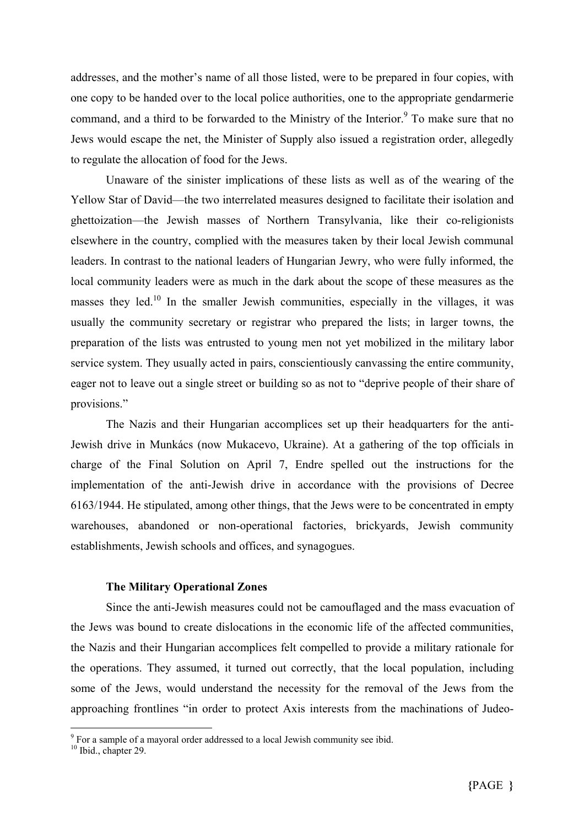addresses, and the mother's name of all those listed, were to be prepared in four copies, with one copy to be handed over to the local police authorities, one to the appropriate gendarmerie command, and a third to be forwarded to the Ministry of the Interior.<sup>9</sup> To make sure that no Jews would escape the net, the Minister of Supply also issued a registration order, allegedly to regulate the allocation of food for the Jews.

Unaware of the sinister implications of these lists as well as of the wearing of the Yellow Star of David—the two interrelated measures designed to facilitate their isolation and ghettoization—the Jewish masses of Northern Transylvania, like their co-religionists elsewhere in the country, complied with the measures taken by their local Jewish communal leaders. In contrast to the national leaders of Hungarian Jewry, who were fully informed, the local community leaders were as much in the dark about the scope of these measures as the masses they led.<sup>10</sup> In the smaller Jewish communities, especially in the villages, it was usually the community secretary or registrar who prepared the lists; in larger towns, the preparation of the lists was entrusted to young men not yet mobilized in the military labor service system. They usually acted in pairs, conscientiously canvassing the entire community, eager not to leave out a single street or building so as not to "deprive people of their share of provisions."

The Nazis and their Hungarian accomplices set up their headquarters for the anti-Jewish drive in Munkács (now Mukacevo, Ukraine). At a gathering of the top officials in charge of the Final Solution on April 7, Endre spelled out the instructions for the implementation of the anti-Jewish drive in accordance with the provisions of Decree 6163/1944. He stipulated, among other things, that the Jews were to be concentrated in empty warehouses, abandoned or non-operational factories, brickyards, Jewish community establishments, Jewish schools and offices, and synagogues.

#### **The Military Operational Zones**

Since the anti-Jewish measures could not be camouflaged and the mass evacuation of the Jews was bound to create dislocations in the economic life of the affected communities, the Nazis and their Hungarian accomplices felt compelled to provide a military rationale for the operations. They assumed, it turned out correctly, that the local population, including some of the Jews, would understand the necessity for the removal of the Jews from the approaching frontlines "in order to protect Axis interests from the machinations of Judeo-

<span id="page-7-0"></span><sup>&</sup>lt;sup>9</sup> For a sample of a mayoral order addressed to a local Jewish community see ibid.<br><sup>10</sup> Ibid., chapter 29.

<span id="page-7-1"></span>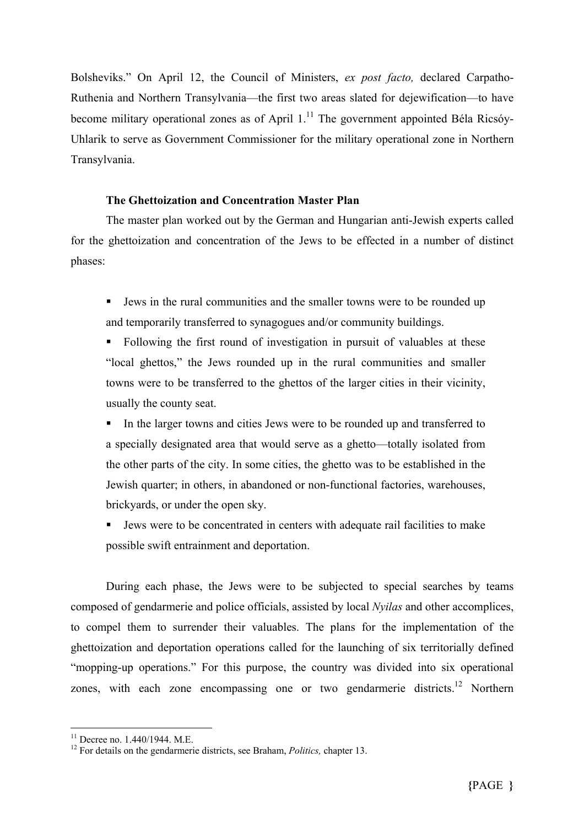Bolsheviks." On April 12, the Council of Ministers, *ex post facto,* declared Carpatho-Ruthenia and Northern Transylvania—the first two areas slated for dejewification—to have become military operational zones as of April  $1<sup>11</sup>$  The government appointed Béla Ricsóy-Uhlarik to serve as Government Commissioner for the military operational zone in Northern Transylvania.

# **The Ghettoization and Concentration Master Plan**

The master plan worked out by the German and Hungarian anti-Jewish experts called for the ghettoization and concentration of the Jews to be effected in a number of distinct phases:

- Jews in the rural communities and the smaller towns were to be rounded up and temporarily transferred to synagogues and/or community buildings.
- Following the first round of investigation in pursuit of valuables at these "local ghettos," the Jews rounded up in the rural communities and smaller towns were to be transferred to the ghettos of the larger cities in their vicinity, usually the county seat.
- In the larger towns and cities Jews were to be rounded up and transferred to a specially designated area that would serve as a ghetto—totally isolated from the other parts of the city. In some cities, the ghetto was to be established in the Jewish quarter; in others, in abandoned or non-functional factories, warehouses, brickyards, or under the open sky.
- Jews were to be concentrated in centers with adequate rail facilities to make possible swift entrainment and deportation.

During each phase, the Jews were to be subjected to special searches by teams composed of gendarmerie and police officials, assisted by local *Nyilas* and other accomplices, to compel them to surrender their valuables. The plans for the implementation of the ghettoization and deportation operations called for the launching of six territorially defined "mopping-up operations." For this purpose, the country was divided into six operational zones, with each zone encompassing one or two gendarmerie districts.<sup>12</sup> Northern

<span id="page-8-0"></span><sup>&</sup>lt;sup>11</sup> Decree no. 1.440/1944. M.E.

<span id="page-8-1"></span><sup>12</sup> For details on the gendarmerie districts, see Braham, *Politics*, chapter 13.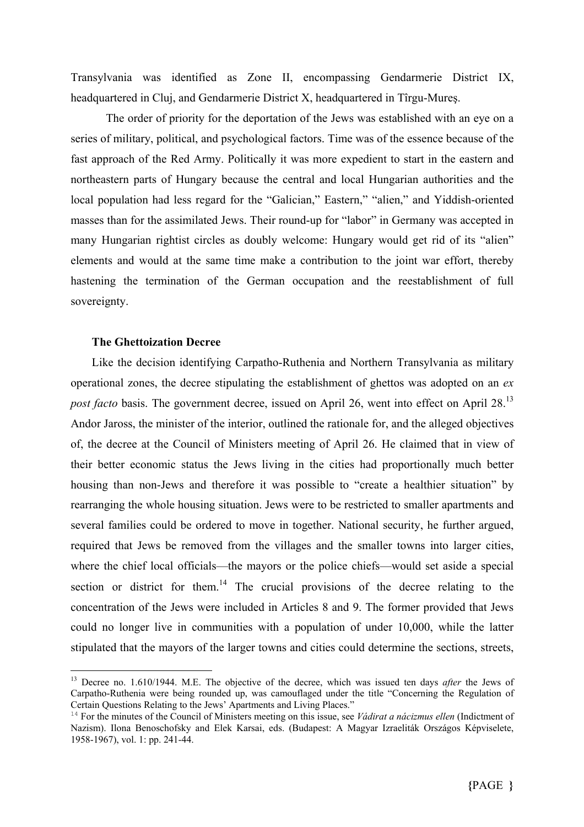Transylvania was identified as Zone II, encompassing Gendarmerie District IX, headquartered in Cluj, and Gendarmerie District X, headquartered in Tîrgu-Mureş.

The order of priority for the deportation of the Jews was established with an eye on a series of military, political, and psychological factors. Time was of the essence because of the fast approach of the Red Army. Politically it was more expedient to start in the eastern and northeastern parts of Hungary because the central and local Hungarian authorities and the local population had less regard for the "Galician," Eastern," "alien," and Yiddish-oriented masses than for the assimilated Jews. Their round-up for "labor" in Germany was accepted in many Hungarian rightist circles as doubly welcome: Hungary would get rid of its "alien" elements and would at the same time make a contribution to the joint war effort, thereby hastening the termination of the German occupation and the reestablishment of full sovereignty.

# **The Ghettoization Decree**

 $\overline{a}$ 

Like the decision identifying Carpatho-Ruthenia and Northern Transylvania as military operational zones, the decree stipulating the establishment of ghettos was adopted on an *ex post facto* basis. The government decree, issued on April 26, went into effect on April 28.<sup>13</sup> Andor Jaross, the minister of the interior, outlined the rationale for, and the alleged objectives of, the decree at the Council of Ministers meeting of April 26. He claimed that in view of their better economic status the Jews living in the cities had proportionally much better housing than non-Jews and therefore it was possible to "create a healthier situation" by rearranging the whole housing situation. Jews were to be restricted to smaller apartments and several families could be ordered to move in together. National security, he further argued, required that Jews be removed from the villages and the smaller towns into larger cities, where the chief local officials—the mayors or the police chiefs—would set aside a special section or district for them.<sup>14</sup> The crucial provisions of the decree relating to the concentration of the Jews were included in Articles 8 and 9. The former provided that Jews could no longer live in communities with a population of under 10,000, while the latter stipulated that the mayors of the larger towns and cities could determine the sections, streets,

<span id="page-9-0"></span><sup>13</sup> Decree no. 1.610/1944. M.E. The objective of the decree, which was issued ten days *after* the Jews of Carpatho-Ruthenia were being rounded up, was camouflaged under the title "Concerning the Regulation of Certain Questions Relating to the Jews' Apartments and Living Places."

<span id="page-9-1"></span><sup>14</sup> For the minutes of the Council of Ministers meeting on this issue, see *Vádirat a nácizmus ellen* (Indictment of Nazism). Ilona Benoschofsky and Elek Karsai, eds. (Budapest: A Magyar Izraeliták Országos Képviselete, 1958-1967), vol. 1: pp. 241-44.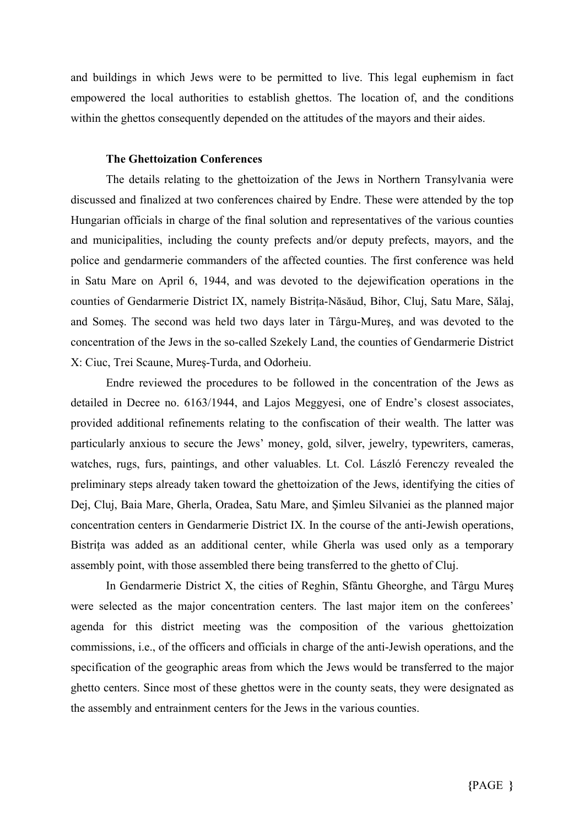and buildings in which Jews were to be permitted to live. This legal euphemism in fact empowered the local authorities to establish ghettos. The location of, and the conditions within the ghettos consequently depended on the attitudes of the mayors and their aides.

# **The Ghettoization Conferences**

The details relating to the ghettoization of the Jews in Northern Transylvania were discussed and finalized at two conferences chaired by Endre. These were attended by the top Hungarian officials in charge of the final solution and representatives of the various counties and municipalities, including the county prefects and/or deputy prefects, mayors, and the police and gendarmerie commanders of the affected counties. The first conference was held in Satu Mare on April 6, 1944, and was devoted to the dejewification operations in the counties of Gendarmerie District IX, namely Bistrita-Năsăud, Bihor, Cluj, Satu Mare, Sălaj, and Someş. The second was held two days later in Târgu-Mureş, and was devoted to the concentration of the Jews in the so-called Szekely Land, the counties of Gendarmerie District X: Ciuc, Trei Scaune, Mureş-Turda, and Odorheiu.

Endre reviewed the procedures to be followed in the concentration of the Jews as detailed in Decree no. 6163/1944, and Lajos Meggyesi, one of Endre's closest associates, provided additional refinements relating to the confiscation of their wealth. The latter was particularly anxious to secure the Jews' money, gold, silver, jewelry, typewriters, cameras, watches, rugs, furs, paintings, and other valuables. Lt. Col. László Ferenczy revealed the preliminary steps already taken toward the ghettoization of the Jews, identifying the cities of Dej, Cluj, Baia Mare, Gherla, Oradea, Satu Mare, and Şimleu Silvaniei as the planned major concentration centers in Gendarmerie District IX. In the course of the anti-Jewish operations, Bistrita was added as an additional center, while Gherla was used only as a temporary assembly point, with those assembled there being transferred to the ghetto of Cluj.

In Gendarmerie District X, the cities of Reghin, Sfântu Gheorghe, and Târgu Mureş were selected as the major concentration centers. The last major item on the conferees' agenda for this district meeting was the composition of the various ghettoization commissions, i.e., of the officers and officials in charge of the anti-Jewish operations, and the specification of the geographic areas from which the Jews would be transferred to the major ghetto centers. Since most of these ghettos were in the county seats, they were designated as the assembly and entrainment centers for the Jews in the various counties.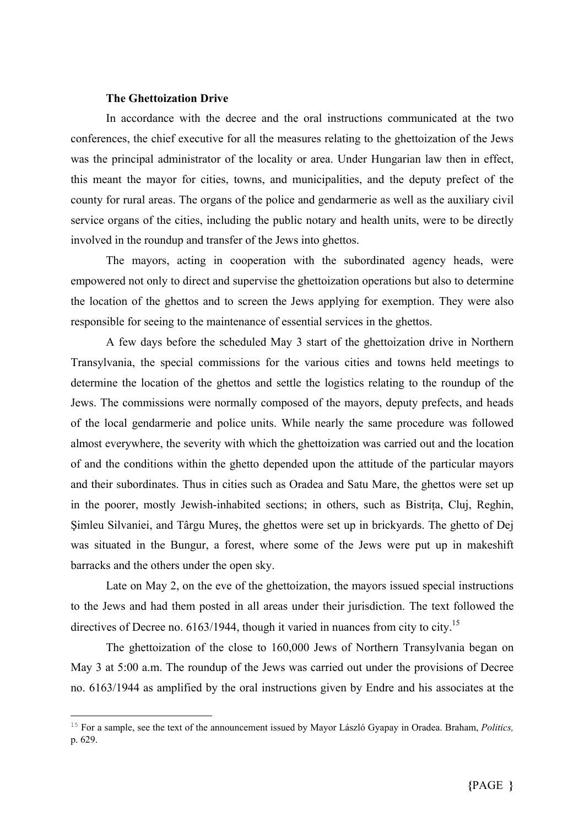#### **The Ghettoization Drive**

 $\overline{a}$ 

In accordance with the decree and the oral instructions communicated at the two conferences, the chief executive for all the measures relating to the ghettoization of the Jews was the principal administrator of the locality or area. Under Hungarian law then in effect, this meant the mayor for cities, towns, and municipalities, and the deputy prefect of the county for rural areas. The organs of the police and gendarmerie as well as the auxiliary civil service organs of the cities, including the public notary and health units, were to be directly involved in the roundup and transfer of the Jews into ghettos.

The mayors, acting in cooperation with the subordinated agency heads, were empowered not only to direct and supervise the ghettoization operations but also to determine the location of the ghettos and to screen the Jews applying for exemption. They were also responsible for seeing to the maintenance of essential services in the ghettos.

A few days before the scheduled May 3 start of the ghettoization drive in Northern Transylvania, the special commissions for the various cities and towns held meetings to determine the location of the ghettos and settle the logistics relating to the roundup of the Jews. The commissions were normally composed of the mayors, deputy prefects, and heads of the local gendarmerie and police units. While nearly the same procedure was followed almost everywhere, the severity with which the ghettoization was carried out and the location of and the conditions within the ghetto depended upon the attitude of the particular mayors and their subordinates. Thus in cities such as Oradea and Satu Mare, the ghettos were set up in the poorer, mostly Jewish-inhabited sections; in others, such as Bistrita, Cluj, Reghin, Şimleu Silvaniei, and Târgu Mureş, the ghettos were set up in brickyards. The ghetto of Dej was situated in the Bungur, a forest, where some of the Jews were put up in makeshift barracks and the others under the open sky.

Late on May 2, on the eve of the ghettoization, the mayors issued special instructions to the Jews and had them posted in all areas under their jurisdiction. The text followed the directives of Decree no. 6163/1944, though it varied in nuances from city to city.<sup>15</sup>

The ghettoization of the close to 160,000 Jews of Northern Transylvania began on May 3 at 5:00 a.m. The roundup of the Jews was carried out under the provisions of Decree no. 6163/1944 as amplified by the oral instructions given by Endre and his associates at the

<span id="page-11-0"></span><sup>15</sup> For a sample, see the text of the announcement issued by Mayor László Gyapay in Oradea. Braham, *Politics,* p. 629.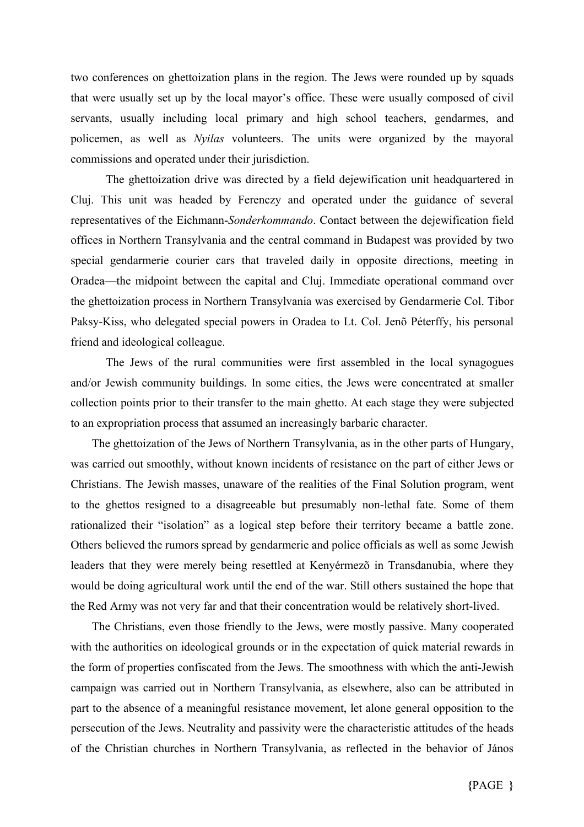two conferences on ghettoization plans in the region. The Jews were rounded up by squads that were usually set up by the local mayor's office. These were usually composed of civil servants, usually including local primary and high school teachers, gendarmes, and policemen, as well as *Nyilas* volunteers. The units were organized by the mayoral commissions and operated under their jurisdiction.

The ghettoization drive was directed by a field dejewification unit headquartered in Cluj. This unit was headed by Ferenczy and operated under the guidance of several representatives of the Eichmann-*Sonderkommando*. Contact between the dejewification field offices in Northern Transylvania and the central command in Budapest was provided by two special gendarmerie courier cars that traveled daily in opposite directions, meeting in Oradea—the midpoint between the capital and Cluj. Immediate operational command over the ghettoization process in Northern Transylvania was exercised by Gendarmerie Col. Tibor Paksy-Kiss, who delegated special powers in Oradea to Lt. Col. Jenõ Péterffy, his personal friend and ideological colleague.

The Jews of the rural communities were first assembled in the local synagogues and/or Jewish community buildings. In some cities, the Jews were concentrated at smaller collection points prior to their transfer to the main ghetto. At each stage they were subjected to an expropriation process that assumed an increasingly barbaric character.

The ghettoization of the Jews of Northern Transylvania, as in the other parts of Hungary, was carried out smoothly, without known incidents of resistance on the part of either Jews or Christians. The Jewish masses, unaware of the realities of the Final Solution program, went to the ghettos resigned to a disagreeable but presumably non-lethal fate. Some of them rationalized their "isolation" as a logical step before their territory became a battle zone. Others believed the rumors spread by gendarmerie and police officials as well as some Jewish leaders that they were merely being resettled at Kenyérmezõ in Transdanubia, where they would be doing agricultural work until the end of the war. Still others sustained the hope that the Red Army was not very far and that their concentration would be relatively short-lived.

The Christians, even those friendly to the Jews, were mostly passive. Many cooperated with the authorities on ideological grounds or in the expectation of quick material rewards in the form of properties confiscated from the Jews. The smoothness with which the anti-Jewish campaign was carried out in Northern Transylvania, as elsewhere, also can be attributed in part to the absence of a meaningful resistance movement, let alone general opposition to the persecution of the Jews. Neutrality and passivity were the characteristic attitudes of the heads of the Christian churches in Northern Transylvania, as reflected in the behavior of János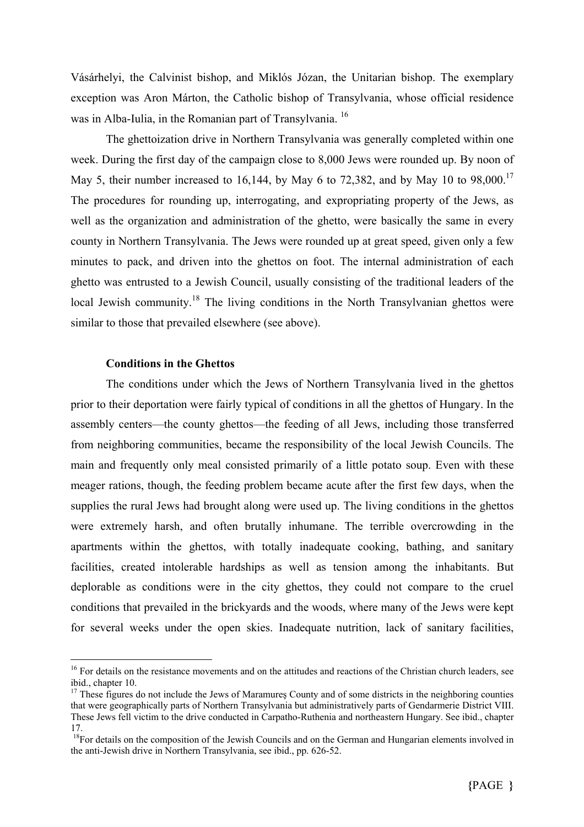Vásárhelyi, the Calvinist bishop, and Miklós Józan, the Unitarian bishop. The exemplary exception was Aron Márton, the Catholic bishop of Transylvania, whose official residence was in Alba-Iulia, in the Romanian part of Transylvania. [16](#page-13-0) 

The ghettoization drive in Northern Transylvania was generally completed within one week. During the first day of the campaign close to 8,000 Jews were rounded up. By noon of May 5, their number increased to 16,144, by May 6 to 72,382, and by May 10 to 98,000.<sup>17</sup> The procedures for rounding up, interrogating, and expropriating property of the Jews, as well as the organization and administration of the ghetto, were basically the same in every county in Northern Transylvania. The Jews were rounded up at great speed, given only a few minutes to pack, and driven into the ghettos on foot. The internal administration of each ghetto was entrusted to a Jewish Council, usually consisting of the traditional leaders of the local Jewish community.<sup>18</sup> The living conditions in the North Transylvanian ghettos were similar to those that prevailed elsewhere (see above).

# **Conditions in the Ghettos**

 $\overline{a}$ 

The conditions under which the Jews of Northern Transylvania lived in the ghettos prior to their deportation were fairly typical of conditions in all the ghettos of Hungary. In the assembly centers—the county ghettos—the feeding of all Jews, including those transferred from neighboring communities, became the responsibility of the local Jewish Councils. The main and frequently only meal consisted primarily of a little potato soup. Even with these meager rations, though, the feeding problem became acute after the first few days, when the supplies the rural Jews had brought along were used up. The living conditions in the ghettos were extremely harsh, and often brutally inhumane. The terrible overcrowding in the apartments within the ghettos, with totally inadequate cooking, bathing, and sanitary facilities, created intolerable hardships as well as tension among the inhabitants. But deplorable as conditions were in the city ghettos, they could not compare to the cruel conditions that prevailed in the brickyards and the woods, where many of the Jews were kept for several weeks under the open skies. Inadequate nutrition, lack of sanitary facilities,

<span id="page-13-0"></span><sup>&</sup>lt;sup>16</sup> For details on the resistance movements and on the attitudes and reactions of the Christian church leaders, see ibid., chapter 10.<br><sup>17</sup> These figures do not include the Jews of Maramures County and of some districts in the neighboring counties

<span id="page-13-1"></span>that were geographically parts of Northern Transylvania but administratively parts of Gendarmerie District VIII. These Jews fell victim to the drive conducted in Carpatho-Ruthenia and northeastern Hungary. See ibid., chapter 17.<br><sup>18</sup>For details on the composition of the Jewish Councils and on the German and Hungarian elements involved in

<span id="page-13-2"></span>the anti-Jewish drive in Northern Transylvania, see ibid., pp. 626-52.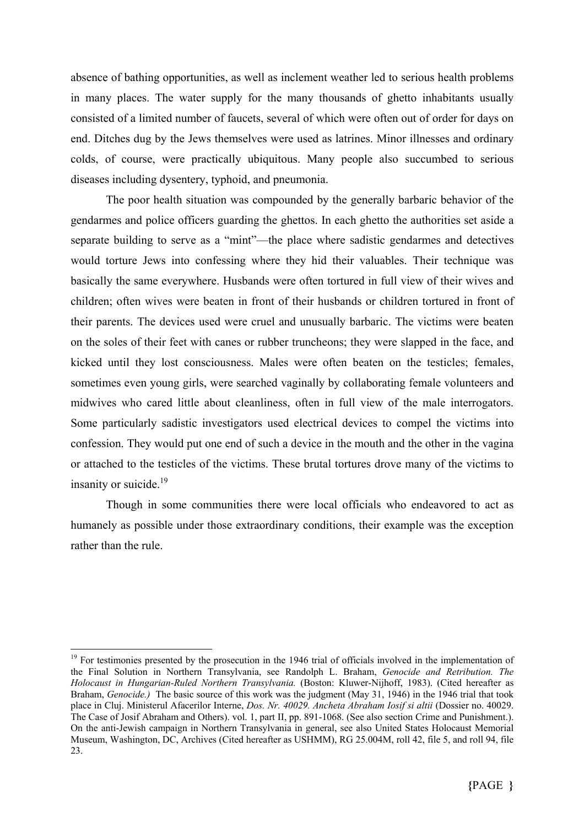absence of bathing opportunities, as well as inclement weather led to serious health problems in many places. The water supply for the many thousands of ghetto inhabitants usually consisted of a limited number of faucets, several of which were often out of order for days on end. Ditches dug by the Jews themselves were used as latrines. Minor illnesses and ordinary colds, of course, were practically ubiquitous. Many people also succumbed to serious diseases including dysentery, typhoid, and pneumonia.

The poor health situation was compounded by the generally barbaric behavior of the gendarmes and police officers guarding the ghettos. In each ghetto the authorities set aside a separate building to serve as a "mint"—the place where sadistic gendarmes and detectives would torture Jews into confessing where they hid their valuables. Their technique was basically the same everywhere. Husbands were often tortured in full view of their wives and children; often wives were beaten in front of their husbands or children tortured in front of their parents. The devices used were cruel and unusually barbaric. The victims were beaten on the soles of their feet with canes or rubber truncheons; they were slapped in the face, and kicked until they lost consciousness. Males were often beaten on the testicles; females, sometimes even young girls, were searched vaginally by collaborating female volunteers and midwives who cared little about cleanliness, often in full view of the male interrogators. Some particularly sadistic investigators used electrical devices to compel the victims into confession. They would put one end of such a device in the mouth and the other in the vagina or attached to the testicles of the victims. These brutal tortures drove many of the victims to insanity or suicide.<sup>19</sup>

Though in some communities there were local officials who endeavored to act as humanely as possible under those extraordinary conditions, their example was the exception rather than the rule.

<span id="page-14-0"></span><sup>&</sup>lt;sup>19</sup> For testimonies presented by the prosecution in the 1946 trial of officials involved in the implementation of the Final Solution in Northern Transylvania, see Randolph L. Braham, *Genocide and Retribution. The Holocaust in Hungarian-Ruled Northern Transylvania.* (Boston: Kluwer-Nijhoff, 1983). (Cited hereafter as Braham, *Genocide.)* The basic source of this work was the judgment (May 31, 1946) in the 1946 trial that took place in Cluj. Ministerul Afacerilor Interne, *Dos. Nr. 40029. Ancheta Abraham Iosif si altii* (Dossier no. 40029. The Case of Josif Abraham and Others). vol. 1, part II, pp. 891-1068. (See also section Crime and Punishment.). On the anti-Jewish campaign in Northern Transylvania in general, see also United States Holocaust Memorial Museum, Washington, DC, Archives (Cited hereafter as USHMM), RG 25.004M, roll 42, file 5, and roll 94, file 23.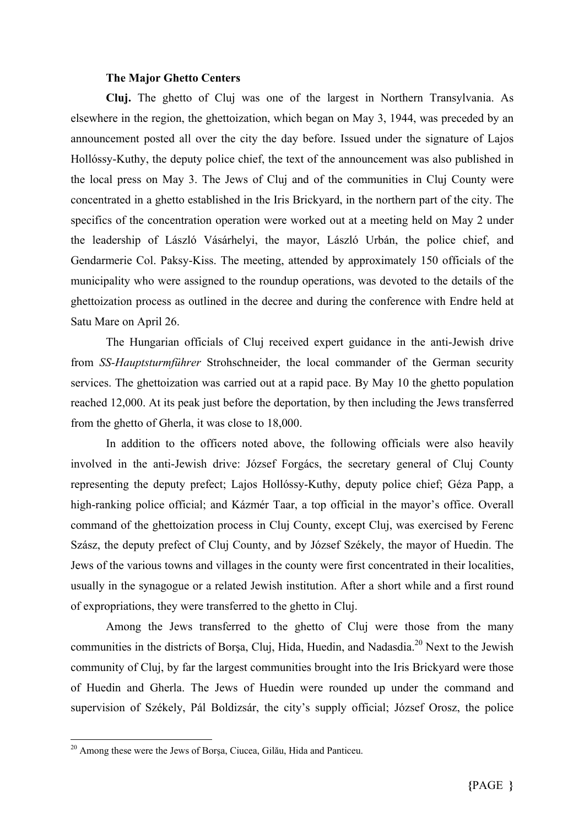#### **The Major Ghetto Centers**

**Cluj.** The ghetto of Cluj was one of the largest in Northern Transylvania. As elsewhere in the region, the ghettoization, which began on May 3, 1944, was preceded by an announcement posted all over the city the day before. Issued under the signature of Lajos Hollóssy-Kuthy, the deputy police chief, the text of the announcement was also published in the local press on May 3. The Jews of Cluj and of the communities in Cluj County were concentrated in a ghetto established in the Iris Brickyard, in the northern part of the city. The specifics of the concentration operation were worked out at a meeting held on May 2 under the leadership of László Vásárhelyi, the mayor, László Urbán, the police chief, and Gendarmerie Col. Paksy-Kiss. The meeting, attended by approximately 150 officials of the municipality who were assigned to the roundup operations, was devoted to the details of the ghettoization process as outlined in the decree and during the conference with Endre held at Satu Mare on April 26.

The Hungarian officials of Cluj received expert guidance in the anti-Jewish drive from *SS-Hauptsturmführer* Strohschneider, the local commander of the German security services. The ghettoization was carried out at a rapid pace. By May 10 the ghetto population reached 12,000. At its peak just before the deportation, by then including the Jews transferred from the ghetto of Gherla, it was close to 18,000.

In addition to the officers noted above, the following officials were also heavily involved in the anti-Jewish drive: József Forgács, the secretary general of Cluj County representing the deputy prefect; Lajos Hollóssy-Kuthy, deputy police chief; Géza Papp, a high-ranking police official; and Kázmér Taar, a top official in the mayor's office. Overall command of the ghettoization process in Cluj County, except Cluj, was exercised by Ferenc Szász, the deputy prefect of Cluj County, and by József Székely, the mayor of Huedin. The Jews of the various towns and villages in the county were first concentrated in their localities, usually in the synagogue or a related Jewish institution. After a short while and a first round of expropriations, they were transferred to the ghetto in Cluj.

Among the Jews transferred to the ghetto of Cluj were those from the many communities in the districts of Borşa, Cluj, Hida, Huedin, and Nadasdia[.20](#page-15-0) Next to the Jewish community of Cluj, by far the largest communities brought into the Iris Brickyard were those of Huedin and Gherla. The Jews of Huedin were rounded up under the command and supervision of Székely, Pál Boldizsár, the city's supply official; József Orosz, the police

<span id="page-15-0"></span><sup>&</sup>lt;sup>20</sup> Among these were the Jews of Borșa, Ciucea, Gilău, Hida and Panticeu.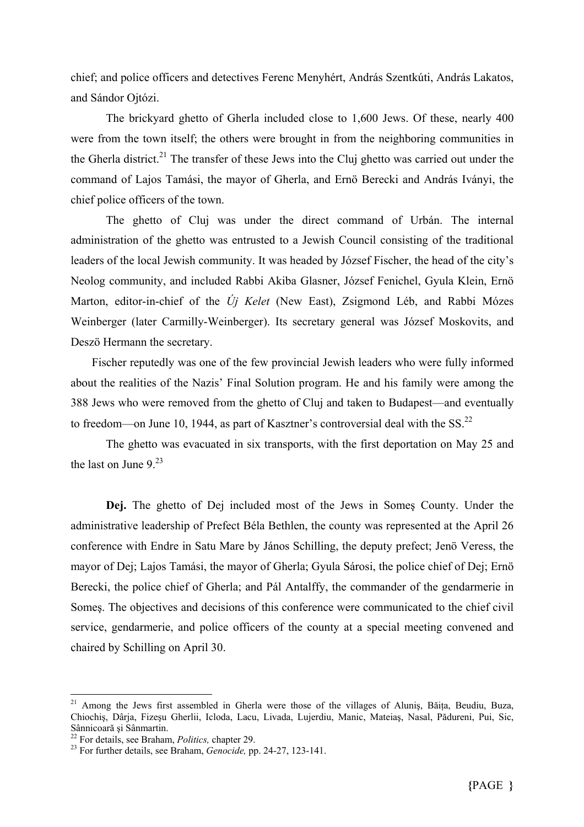chief; and police officers and detectives Ferenc Menyhért, András Szentkúti, András Lakatos, and Sándor Ojtózi.

The brickyard ghetto of Gherla included close to 1,600 Jews. Of these, nearly 400 were from the town itself; the others were brought in from the neighboring communities in the Gherla district.<sup>21</sup> The transfer of these Jews into the Cluj ghetto was carried out under the command of Lajos Tamási, the mayor of Gherla, and Ernö Berecki and András Iványi, the chief police officers of the town.

The ghetto of Cluj was under the direct command of Urbán. The internal administration of the ghetto was entrusted to a Jewish Council consisting of the traditional leaders of the local Jewish community. It was headed by József Fischer, the head of the city's Neolog community, and included Rabbi Akiba Glasner, József Fenichel, Gyula Klein, Ernö Marton, editor-in-chief of the *Új Kelet* (New East), Zsigmond Léb, and Rabbi Mózes Weinberger (later Carmilly-Weinberger). Its secretary general was József Moskovits, and Deszö Hermann the secretary.

Fischer reputedly was one of the few provincial Jewish leaders who were fully informed about the realities of the Nazis' Final Solution program. He and his family were among the 388 Jews who were removed from the ghetto of Cluj and taken to Budapest—and eventually to freedom—on June 10, 1944, as part of Kasztner's controversial deal with the SS. $^{22}$ 

The ghetto was evacuated in six transports, with the first deportation on May 25 and the last on June  $9^{23}$ 

**Dej.** The ghetto of Dej included most of the Jews in Someş County. Under the administrative leadership of Prefect Béla Bethlen, the county was represented at the April 26 conference with Endre in Satu Mare by János Schilling, the deputy prefect; Jenö Veress, the mayor of Dej; Lajos Tamási, the mayor of Gherla; Gyula Sárosi, the police chief of Dej; Ernö Berecki, the police chief of Gherla; and Pál Antalffy, the commander of the gendarmerie in Someş. The objectives and decisions of this conference were communicated to the chief civil service, gendarmerie, and police officers of the county at a special meeting convened and chaired by Schilling on April 30.

<span id="page-16-0"></span><sup>&</sup>lt;sup>21</sup> Among the Jews first assembled in Gherla were those of the villages of Aluniş, Băița, Beudiu, Buza, Chiochiş, Dârja, Fizeşu Gherlii, Icloda, Lacu, Livada, Lujerdiu, Manic, Mateiaş, Nasal, Pădureni, Pui, Sic,

<span id="page-16-2"></span><span id="page-16-1"></span>

<sup>&</sup>lt;sup>22</sup> For details, see Braham, *Politics*, *chapter 29.* <sup>23</sup> For further details, see Braham, *Genocide*, pp. 24-27, 123-141.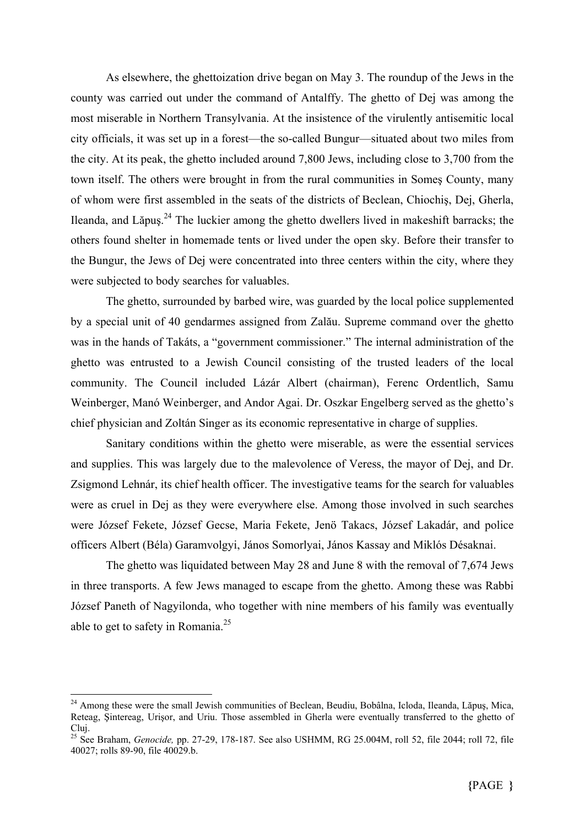As elsewhere, the ghettoization drive began on May 3. The roundup of the Jews in the county was carried out under the command of Antalffy. The ghetto of Dej was among the most miserable in Northern Transylvania. At the insistence of the virulently antisemitic local city officials, it was set up in a forest—the so-called Bungur—situated about two miles from the city. At its peak, the ghetto included around 7,800 Jews, including close to 3,700 from the town itself. The others were brought in from the rural communities in Someş County, many of whom were first assembled in the seats of the districts of Beclean, Chiochiş, Dej, Gherla, Ileanda, and Lăpuș.<sup>24</sup> The luckier among the ghetto dwellers lived in makeshift barracks; the others found shelter in homemade tents or lived under the open sky. Before their transfer to the Bungur, the Jews of Dej were concentrated into three centers within the city, where they were subjected to body searches for valuables.

The ghetto, surrounded by barbed wire, was guarded by the local police supplemented by a special unit of 40 gendarmes assigned from Zalău. Supreme command over the ghetto was in the hands of Takáts, a "government commissioner." The internal administration of the ghetto was entrusted to a Jewish Council consisting of the trusted leaders of the local community. The Council included Lázár Albert (chairman), Ferenc Ordentlich, Samu Weinberger, Manó Weinberger, and Andor Agai. Dr. Oszkar Engelberg served as the ghetto's chief physician and Zoltán Singer as its economic representative in charge of supplies.

Sanitary conditions within the ghetto were miserable, as were the essential services and supplies. This was largely due to the malevolence of Veress, the mayor of Dej, and Dr. Zsigmond Lehnár, its chief health officer. The investigative teams for the search for valuables were as cruel in Dej as they were everywhere else. Among those involved in such searches were József Fekete, József Gecse, Maria Fekete, Jenö Takacs, József Lakadár, and police officers Albert (Béla) Garamvolgyi, János Somorlyai, János Kassay and Miklós Désaknai.

The ghetto was liquidated between May 28 and June 8 with the removal of 7,674 Jews in three transports. A few Jews managed to escape from the ghetto. Among these was Rabbi József Paneth of Nagyilonda, who together with nine members of his family was eventually able to get to safety in Romania.<sup>[25](#page-17-1)</sup>

<span id="page-17-0"></span><sup>&</sup>lt;sup>24</sup> Among these were the small Jewish communities of Beclean, Beudiu, Bobâlna, Icloda, Ileanda, Lăpuș, Mica, Reteag, Şintereag, Urişor, and Uriu. Those assembled in Gherla were eventually transferred to the ghetto of Cluj. 25 See Braham, *Genocide,* pp. 27-29, 178-187. See also USHMM, RG 25.004M, roll 52, file 2044; roll 72, file

<span id="page-17-1"></span><sup>40027;</sup> rolls 89-90, file 40029.b.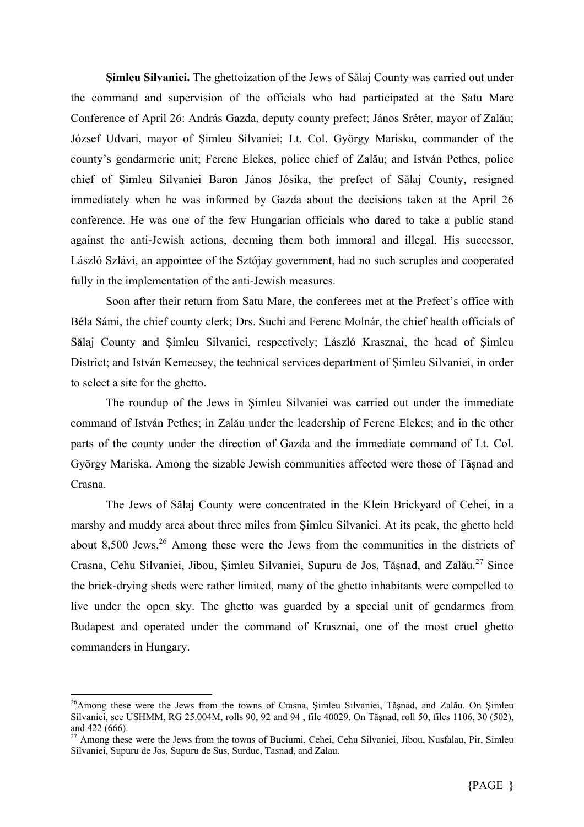**Şimleu Silvaniei.** The ghettoization of the Jews of Sălaj County was carried out under the command and supervision of the officials who had participated at the Satu Mare Conference of April 26: András Gazda, deputy county prefect; János Sréter, mayor of Zalău; József Udvari, mayor of Şimleu Silvaniei; Lt. Col. György Mariska, commander of the county's gendarmerie unit; Ferenc Elekes, police chief of Zalău; and István Pethes, police chief of Şimleu Silvaniei Baron János Jósika, the prefect of Sălaj County, resigned immediately when he was informed by Gazda about the decisions taken at the April 26 conference. He was one of the few Hungarian officials who dared to take a public stand against the anti-Jewish actions, deeming them both immoral and illegal. His successor, László Szlávi, an appointee of the Sztójay government, had no such scruples and cooperated fully in the implementation of the anti-Jewish measures.

Soon after their return from Satu Mare, the conferees met at the Prefect's office with Béla Sámi, the chief county clerk; Drs. Suchi and Ferenc Molnár, the chief health officials of Sălaj County and Şimleu Silvaniei, respectively; László Krasznai, the head of Şimleu District; and István Kemecsey, the technical services department of Şimleu Silvaniei, in order to select a site for the ghetto.

The roundup of the Jews in Şimleu Silvaniei was carried out under the immediate command of István Pethes; in Zalău under the leadership of Ferenc Elekes; and in the other parts of the county under the direction of Gazda and the immediate command of Lt. Col. György Mariska. Among the sizable Jewish communities affected were those of Tăşnad and Crasna.

The Jews of Sălaj County were concentrated in the Klein Brickyard of Cehei, in a marshy and muddy area about three miles from Şimleu Silvaniei. At its peak, the ghetto held about 8,500 Jews.<sup>26</sup> Among these were the Jews from the communities in the districts of Crasna, Cehu Silvaniei, Jibou, Șimleu Silvaniei, Supuru de Jos, Tășnad, and Zalău.<sup>27</sup> Since the brick-drying sheds were rather limited, many of the ghetto inhabitants were compelled to live under the open sky. The ghetto was guarded by a special unit of gendarmes from Budapest and operated under the command of Krasznai, one of the most cruel ghetto commanders in Hungary.

<span id="page-18-0"></span><sup>&</sup>lt;sup>26</sup>Among these were the Jews from the towns of Crasna, Simleu Silvaniei, Tășnad, and Zalău. On Simleu Silvaniei, see USHMM, RG 25.004M, rolls 90, 92 and 94 , file 40029. On Tăşnad, roll 50, files 1106, 30 (502), and 422 (666).<br><sup>27</sup> Among these were the Jews from the towns of Buciumi, Cehei, Cehu Silvaniei, Jibou, Nusfalau, Pir, Simleu

<span id="page-18-1"></span>Silvaniei, Supuru de Jos, Supuru de Sus, Surduc, Tasnad, and Zalau.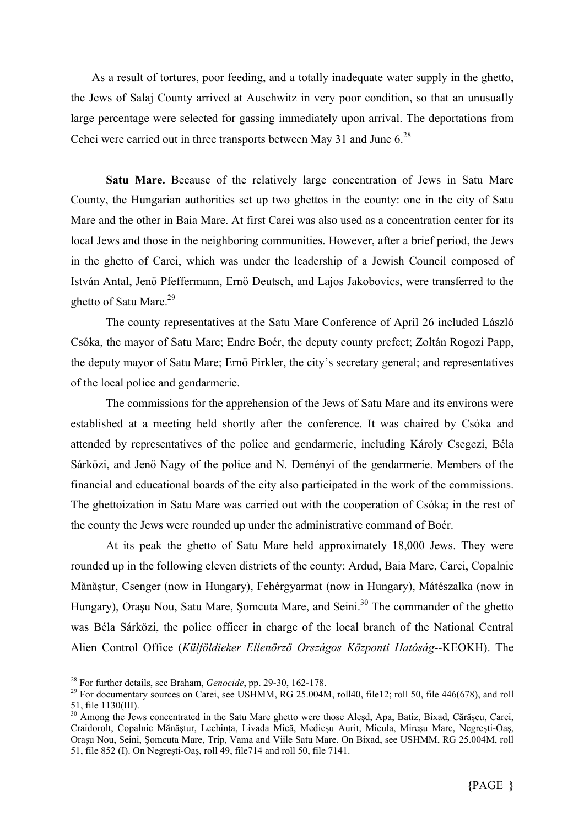As a result of tortures, poor feeding, and a totally inadequate water supply in the ghetto, the Jews of Salaj County arrived at Auschwitz in very poor condition, so that an unusually large percentage were selected for gassing immediately upon arrival. The deportations from Cehei were carried out in three transports between May 31 and June 6.<sup>[28](#page-19-0)</sup>

**Satu Mare.** Because of the relatively large concentration of Jews in Satu Mare County, the Hungarian authorities set up two ghettos in the county: one in the city of Satu Mare and the other in Baia Mare. At first Carei was also used as a concentration center for its local Jews and those in the neighboring communities. However, after a brief period, the Jews in the ghetto of Carei, which was under the leadership of a Jewish Council composed of István Antal, Jenö Pfeffermann, Ernö Deutsch, and Lajos Jakobovics, were transferred to the ghetto of Satu Mare.<sup>[29](#page-19-1)</sup>

The county representatives at the Satu Mare Conference of April 26 included László Csóka, the mayor of Satu Mare; Endre Boér, the deputy county prefect; Zoltán Rogozi Papp, the deputy mayor of Satu Mare; Ernö Pirkler, the city's secretary general; and representatives of the local police and gendarmerie.

The commissions for the apprehension of the Jews of Satu Mare and its environs were established at a meeting held shortly after the conference. It was chaired by Csóka and attended by representatives of the police and gendarmerie, including Károly Csegezi, Béla Sárközi, and Jenö Nagy of the police and N. Deményi of the gendarmerie. Members of the financial and educational boards of the city also participated in the work of the commissions. The ghettoization in Satu Mare was carried out with the cooperation of Csóka; in the rest of the county the Jews were rounded up under the administrative command of Boér.

At its peak the ghetto of Satu Mare held approximately 18,000 Jews. They were rounded up in the following eleven districts of the county: Ardud, Baia Mare, Carei, Copalnic Mănăştur, Csenger (now in Hungary), Fehérgyarmat (now in Hungary), Mátészalka (now in Hungary), Orașu Nou, Satu Mare, Șomcuta Mare, and Seini.<sup>30</sup> The commander of the ghetto was Béla Sárközi, the police officer in charge of the local branch of the National Central Alien Control Office (*Külföldieker Ellenörzö Országos Központi Hatóság--*KEOKH). The

<span id="page-19-0"></span><sup>&</sup>lt;sup>28</sup> For further details, see Braham, *Genocide*, pp. 29-30, 162-178.

<span id="page-19-1"></span><sup>&</sup>lt;sup>29</sup> For documentary sources on Carei, see USHMM, RG 25.004M, roll40, file12; roll 50, file 446(678), and roll 51, file 1130(III). 30 Among the Jews concentrated in the Satu Mare ghetto were those Aleşd, Apa, Batiz, Bixad, Cărăşeu, Carei,

<span id="page-19-2"></span>Craidorolt, Copalnic Mănăștur, Lechinta, Livada Mică, Medieșu Aurit, Micula, Mireșu Mare, Negrești-Oaș, Oraşu Nou, Seini, Şomcuta Mare, Trip, Vama and Viile Satu Mare. On Bixad, see USHMM, RG 25.004M, roll 51, file 852 (I). On Negreşti-Oaş, roll 49, file714 and roll 50, file 7141.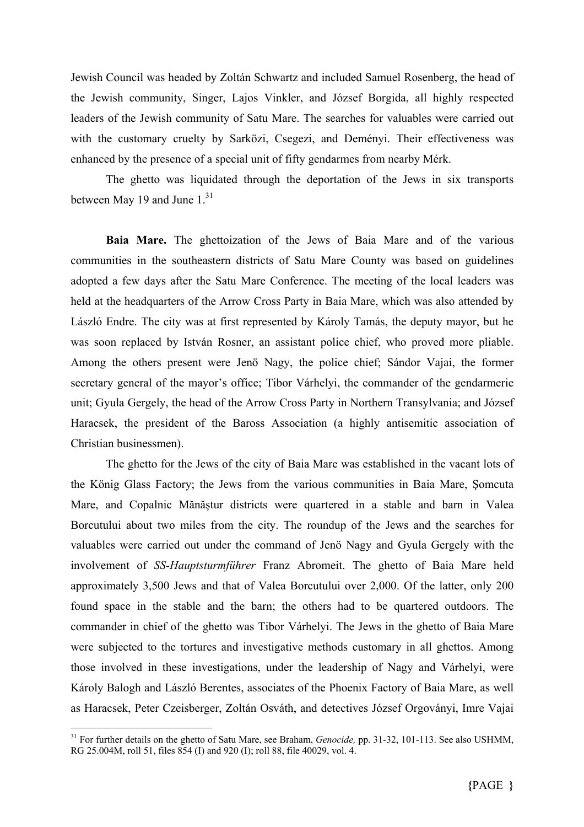Jewish Council was headed by Zoltán Schwartz and included Samuel Rosenberg, the head of the Jewish community, Singer, Lajos Vinkler, and József Borgida, all highly respected leaders of the Jewish community of Satu Mare. The searches for valuables were carried out with the customary cruelty by Sarközi, Csegezi, and Deményi. Their effectiveness was enhanced by the presence of a special unit of fifty gendarmes from nearby Mérk.

The ghetto was liquidated through the deportation of the Jews in six transports between May 19 and June  $1.^{31}$ 

**Baia Mare.** The ghettoization of the Jews of Baia Mare and of the various communities in the southeastern districts of Satu Mare County was based on guidelines adopted a few days after the Satu Mare Conference. The meeting of the local leaders was held at the headquarters of the Arrow Cross Party in Baia Mare, which was also attended by László Endre. The city was at first represented by Károly Tamás, the deputy mayor, but he was soon replaced by István Rosner, an assistant police chief, who proved more pliable. Among the others present were Jenö Nagy, the police chief; Sándor Vajai, the former secretary general of the mayor's office; Tibor Várhelyi, the commander of the gendarmerie unit; Gyula Gergely, the head of the Arrow Cross Party in Northern Transylvania; and József Haracsek, the president of the Baross Association (a highly antisemitic association of Christian businessmen).

The ghetto for the Jews of the city of Baia Mare was established in the vacant lots of the König Glass Factory; the Jews from the various communities in Baia Mare, Şomcuta Mare, and Copalnic Mănăştur districts were quartered in a stable and barn in Valea Borcutului about two miles from the city. The roundup of the Jews and the searches for valuables were carried out under the command of Jenö Nagy and Gyula Gergely with the involvement of *SS-Hauptsturmführer* Franz Abromeit. The ghetto of Baia Mare held approximately 3,500 Jews and that of Valea Borcutului over 2,000. Of the latter, only 200 found space in the stable and the barn; the others had to be quartered outdoors. The commander in chief of the ghetto was Tibor Várhelyi. The Jews in the ghetto of Baia Mare were subjected to the tortures and investigative methods customary in all ghettos. Among those involved in these investigations, under the leadership of Nagy and Várhelyi, were Károly Balogh and László Berentes, associates of the Phoenix Factory of Baia Mare, as well as Haracsek, Peter Czeisberger, Zoltán Osváth, and detectives József Orgoványi, Imre Vajai

<span id="page-20-0"></span><sup>&</sup>lt;sup>31</sup> For further details on the ghetto of Satu Mare, see Braham, *Genocide*, pp. 31-32, 101-113. See also USHMM, RG 25.004M, roll 51, files 854 (I) and 920 (I); roll 88, file 40029, vol. 4.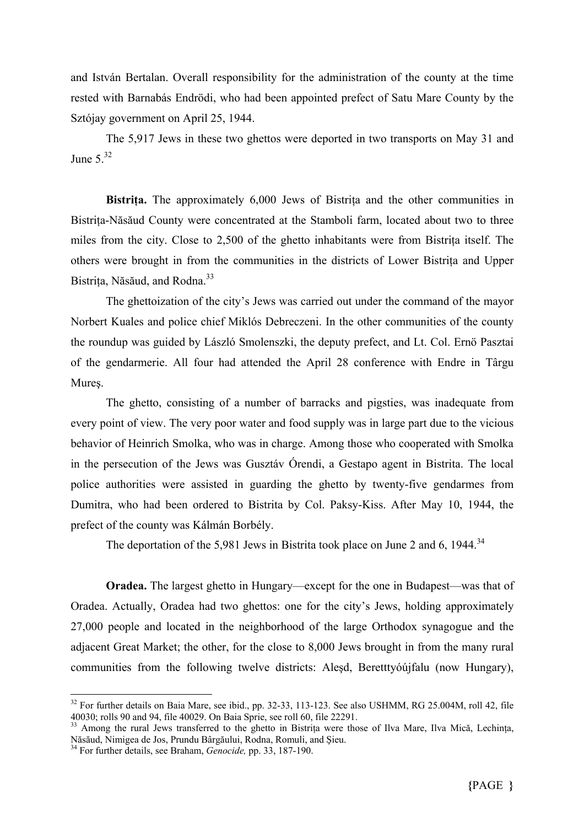and István Bertalan. Overall responsibility for the administration of the county at the time rested with Barnabás Endrödi, who had been appointed prefect of Satu Mare County by the Sztójay government on April 25, 1944.

The 5,917 Jews in these two ghettos were deported in two transports on May 31 and June  $5^{32}$ 

**Bistrita.** The approximately 6,000 Jews of Bistrita and the other communities in Bistriţa-Năsăud County were concentrated at the Stamboli farm, located about two to three miles from the city. Close to 2,500 of the ghetto inhabitants were from Bistriţa itself. The others were brought in from the communities in the districts of Lower Bistriţa and Upper Bistrița, Năsăud, and Rodna.<sup>[33](#page-21-1)</sup>

The ghettoization of the city's Jews was carried out under the command of the mayor Norbert Kuales and police chief Miklós Debreczeni. In the other communities of the county the roundup was guided by László Smolenszki, the deputy prefect, and Lt. Col. Ernö Pasztai of the gendarmerie. All four had attended the April 28 conference with Endre in Târgu Mureş.

The ghetto, consisting of a number of barracks and pigsties, was inadequate from every point of view. The very poor water and food supply was in large part due to the vicious behavior of Heinrich Smolka, who was in charge. Among those who cooperated with Smolka in the persecution of the Jews was Gusztáv Órendi, a Gestapo agent in Bistrita. The local police authorities were assisted in guarding the ghetto by twenty-five gendarmes from Dumitra, who had been ordered to Bistrita by Col. Paksy-Kiss. After May 10, 1944, the prefect of the county was Kálmán Borbély.

The deportation of the 5,981 Jews in Bistrita took place on June 2 and 6, 1944.<sup>[34](#page-21-2)</sup>

**Oradea.** The largest ghetto in Hungary—except for the one in Budapest—was that of Oradea. Actually, Oradea had two ghettos: one for the city's Jews, holding approximately 27,000 people and located in the neighborhood of the large Orthodox synagogue and the adjacent Great Market; the other, for the close to 8,000 Jews brought in from the many rural communities from the following twelve districts: Aleşd, Beretttyóújfalu (now Hungary),

<span id="page-21-0"></span> $32$  For further details on Baia Mare, see ibid., pp. 32-33, 113-123. See also USHMM, RG 25.004M, roll 42, file 40030; rolls 90 and 94, file 40029. On Baia Sprie, see roll 60, file 22291.

<span id="page-21-1"></span><sup>&</sup>lt;sup>33</sup> Among the rural Jews transferred to the ghetto in Bistrița were those of Ilva Mare, Ilva Mică, Lechința, Năsăud, Nimigea de Jos, Prundu Bârgăului, Rodna, Romuli, and Sieu.

<span id="page-21-2"></span><sup>&</sup>lt;sup>34</sup> For further details, see Braham, *Genocide*, pp. 33, 187-190.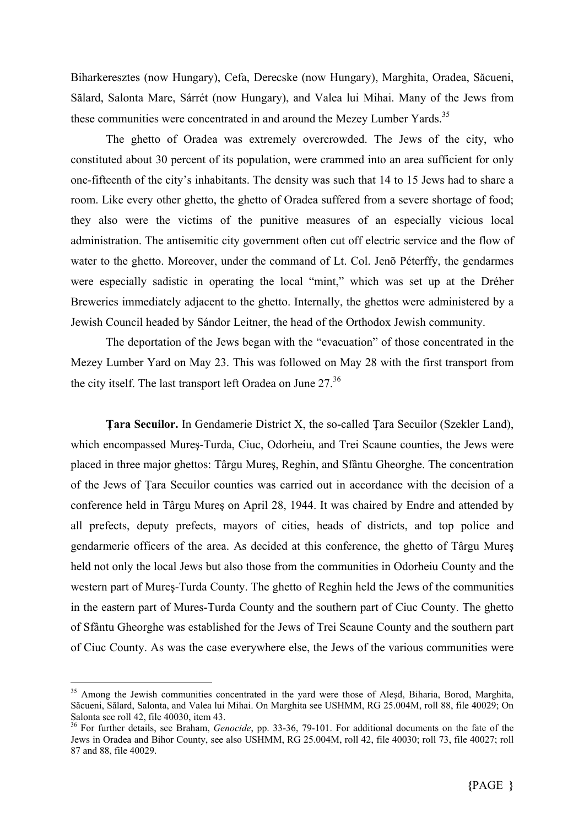Biharkeresztes (now Hungary), Cefa, Derecske (now Hungary), Marghita, Oradea, Săcueni, Sălard, Salonta Mare, Sárrét (now Hungary), and Valea lui Mihai. Many of the Jews from these communities were concentrated in and around the Mezey Lumber Yards.<sup>35</sup>

The ghetto of Oradea was extremely overcrowded. The Jews of the city, who constituted about 30 percent of its population, were crammed into an area sufficient for only one-fifteenth of the city's inhabitants. The density was such that 14 to 15 Jews had to share a room. Like every other ghetto, the ghetto of Oradea suffered from a severe shortage of food; they also were the victims of the punitive measures of an especially vicious local administration. The antisemitic city government often cut off electric service and the flow of water to the ghetto. Moreover, under the command of Lt. Col. Jenõ Péterffy, the gendarmes were especially sadistic in operating the local "mint," which was set up at the Dréher Breweries immediately adjacent to the ghetto. Internally, the ghettos were administered by a Jewish Council headed by Sándor Leitner, the head of the Orthodox Jewish community.

The deportation of the Jews began with the "evacuation" of those concentrated in the Mezey Lumber Yard on May 23. This was followed on May 28 with the first transport from the city itself. The last transport left Oradea on June  $27^{36}$  $27^{36}$  $27^{36}$ 

**Ţara Secuilor.** In Gendamerie District X, the so-called Ţara Secuilor (Szekler Land), which encompassed Mureş-Turda, Ciuc, Odorheiu, and Trei Scaune counties, the Jews were placed in three major ghettos: Târgu Mureş, Reghin, and Sfântu Gheorghe. The concentration of the Jews of Ţara Secuilor counties was carried out in accordance with the decision of a conference held in Târgu Mureş on April 28, 1944. It was chaired by Endre and attended by all prefects, deputy prefects, mayors of cities, heads of districts, and top police and gendarmerie officers of the area. As decided at this conference, the ghetto of Târgu Mureş held not only the local Jews but also those from the communities in Odorheiu County and the western part of Mureş-Turda County. The ghetto of Reghin held the Jews of the communities in the eastern part of Mures-Turda County and the southern part of Ciuc County. The ghetto of Sfântu Gheorghe was established for the Jews of Trei Scaune County and the southern part of Ciuc County. As was the case everywhere else, the Jews of the various communities were

<span id="page-22-0"></span><sup>&</sup>lt;sup>35</sup> Among the Jewish communities concentrated in the yard were those of Aleşd, Biharia, Borod, Marghita, Săcueni, Sălard, Salonta, and Valea lui Mihai. On Marghita see USHMM, RG 25.004M, roll 88, file 40029; On

<span id="page-22-1"></span><sup>&</sup>lt;sup>36</sup> For further details, see Braham, *Genocide*, pp. 33-36, 79-101. For additional documents on the fate of the Jews in Oradea and Bihor County, see also USHMM, RG 25.004M, roll 42, file 40030; roll 73, file 40027; roll 87 and 88, file 40029.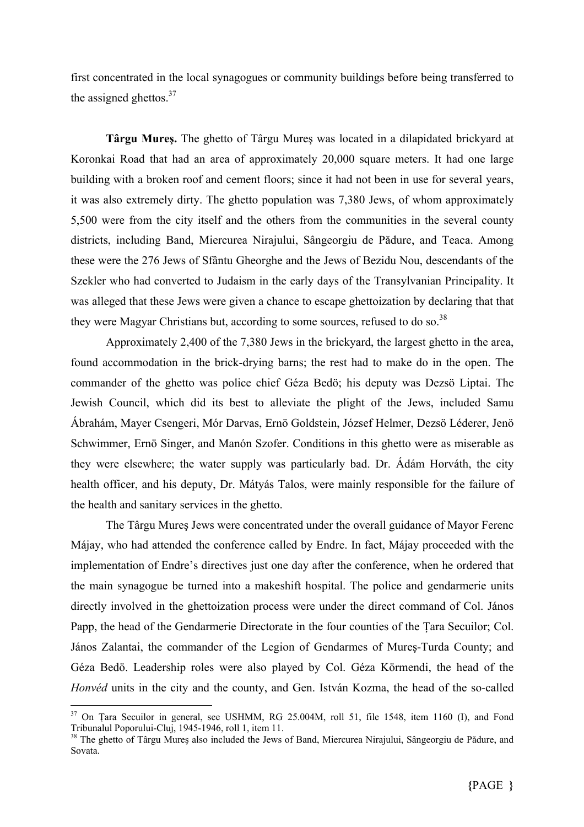first concentrated in the local synagogues or community buildings before being transferred to the assigned ghettos. $37$ 

**Târgu Mureş.** The ghetto of Târgu Mureş was located in a dilapidated brickyard at Koronkai Road that had an area of approximately 20,000 square meters. It had one large building with a broken roof and cement floors; since it had not been in use for several years, it was also extremely dirty. The ghetto population was 7,380 Jews, of whom approximately 5,500 were from the city itself and the others from the communities in the several county districts, including Band, Miercurea Nirajului, Sângeorgiu de Pădure, and Teaca. Among these were the 276 Jews of Sfântu Gheorghe and the Jews of Bezidu Nou, descendants of the Szekler who had converted to Judaism in the early days of the Transylvanian Principality. It was alleged that these Jews were given a chance to escape ghettoization by declaring that that they were Magyar Christians but, according to some sources, refused to do so.<sup>[38](#page-23-1)</sup>

Approximately 2,400 of the 7,380 Jews in the brickyard, the largest ghetto in the area, found accommodation in the brick-drying barns; the rest had to make do in the open. The commander of the ghetto was police chief Géza Bedö; his deputy was Dezsö Liptai. The Jewish Council, which did its best to alleviate the plight of the Jews, included Samu Ábrahám, Mayer Csengeri, Mór Darvas, Ernö Goldstein, József Helmer, Dezsö Léderer, Jenö Schwimmer, Ernö Singer, and Manón Szofer. Conditions in this ghetto were as miserable as they were elsewhere; the water supply was particularly bad. Dr. Ádám Horváth, the city health officer, and his deputy, Dr. Mátyás Talos, were mainly responsible for the failure of the health and sanitary services in the ghetto.

The Târgu Mureş Jews were concentrated under the overall guidance of Mayor Ferenc Májay, who had attended the conference called by Endre. In fact, Májay proceeded with the implementation of Endre's directives just one day after the conference, when he ordered that the main synagogue be turned into a makeshift hospital. The police and gendarmerie units directly involved in the ghettoization process were under the direct command of Col. János Papp, the head of the Gendarmerie Directorate in the four counties of the Ţara Secuilor; Col. János Zalantai, the commander of the Legion of Gendarmes of Mureş-Turda County; and Géza Bedö. Leadership roles were also played by Col. Géza Körmendi, the head of the *Honvéd* units in the city and the county, and Gen. István Kozma, the head of the so-called

<span id="page-23-0"></span> $37$  On Tara Secuilor in general, see USHMM, RG 25.004M, roll 51, file 1548, item 1160 (I), and Fond Tribunalul Poporului-Cluj, 1945-1946, roll 1, item 11.<br><sup>38</sup> The ghetto of Târgu Mureș also included the Jews of Band, Miercurea Nirajului, Sângeorgiu de Pădure, and

<span id="page-23-1"></span>Sovata.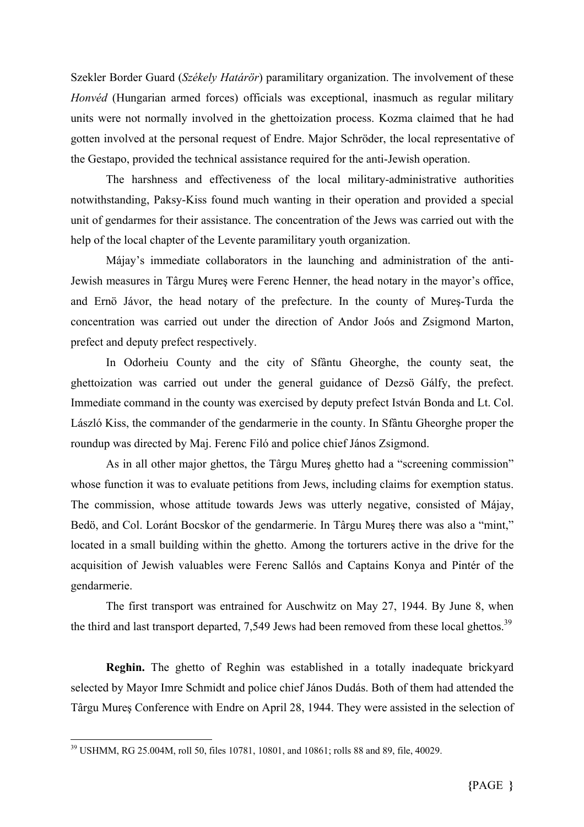Szekler Border Guard (*Székely Határör*) paramilitary organization. The involvement of these *Honvéd* (Hungarian armed forces) officials was exceptional, inasmuch as regular military units were not normally involved in the ghettoization process. Kozma claimed that he had gotten involved at the personal request of Endre. Major Schröder, the local representative of the Gestapo, provided the technical assistance required for the anti-Jewish operation.

The harshness and effectiveness of the local military-administrative authorities notwithstanding, Paksy-Kiss found much wanting in their operation and provided a special unit of gendarmes for their assistance. The concentration of the Jews was carried out with the help of the local chapter of the Levente paramilitary youth organization.

Májay's immediate collaborators in the launching and administration of the anti-Jewish measures in Târgu Mureş were Ferenc Henner, the head notary in the mayor's office, and Ernö Jávor, the head notary of the prefecture. In the county of Mureş-Turda the concentration was carried out under the direction of Andor Joós and Zsigmond Marton, prefect and deputy prefect respectively.

In Odorheiu County and the city of Sfântu Gheorghe, the county seat, the ghettoization was carried out under the general guidance of Dezsö Gálfy, the prefect. Immediate command in the county was exercised by deputy prefect István Bonda and Lt. Col. László Kiss, the commander of the gendarmerie in the county. In Sfântu Gheorghe proper the roundup was directed by Maj. Ferenc Filó and police chief János Zsigmond.

As in all other major ghettos, the Târgu Mureş ghetto had a "screening commission" whose function it was to evaluate petitions from Jews, including claims for exemption status. The commission, whose attitude towards Jews was utterly negative, consisted of Májay, Bedö, and Col. Loránt Bocskor of the gendarmerie. In Târgu Mureş there was also a "mint," located in a small building within the ghetto. Among the torturers active in the drive for the acquisition of Jewish valuables were Ferenc Sallós and Captains Konya and Pintér of the gendarmerie.

The first transport was entrained for Auschwitz on May 27, 1944. By June 8, when the third and last transport departed, 7,549 Jews had been removed from these local ghettos.<sup>[39](#page-24-0)</sup>

**Reghin.** The ghetto of Reghin was established in a totally inadequate brickyard selected by Mayor Imre Schmidt and police chief János Dudás. Both of them had attended the Târgu Mureş Conference with Endre on April 28, 1944. They were assisted in the selection of

<span id="page-24-0"></span><sup>39</sup> USHMM, RG 25.004M, roll 50, files 10781, 10801, and 10861; rolls 88 and 89, file, 40029.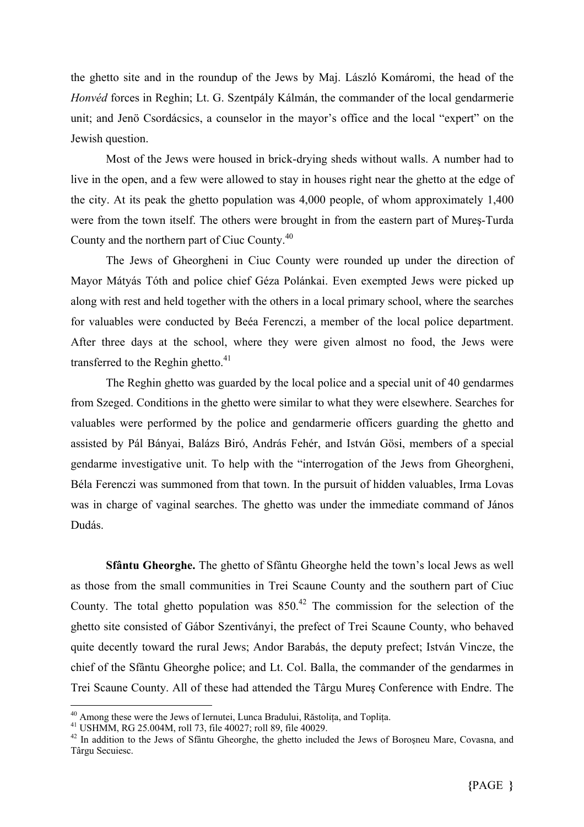the ghetto site and in the roundup of the Jews by Maj. László Komáromi, the head of the *Honvéd* forces in Reghin; Lt. G. Szentpály Kálmán, the commander of the local gendarmerie unit; and Jenö Csordácsics, a counselor in the mayor's office and the local "expert" on the Jewish question.

Most of the Jews were housed in brick-drying sheds without walls. A number had to live in the open, and a few were allowed to stay in houses right near the ghetto at the edge of the city. At its peak the ghetto population was 4,000 people, of whom approximately 1,400 were from the town itself. The others were brought in from the eastern part of Mureş-Turda County and the northern part of Ciuc County.[40](#page-25-0)

The Jews of Gheorgheni in Ciuc County were rounded up under the direction of Mayor Mátyás Tóth and police chief Géza Polánkai. Even exempted Jews were picked up along with rest and held together with the others in a local primary school, where the searches for valuables were conducted by Beéa Ferenczi, a member of the local police department. After three days at the school, where they were given almost no food, the Jews were transferred to the Reghin ghetto.<sup>[41](#page-25-1)</sup>

The Reghin ghetto was guarded by the local police and a special unit of 40 gendarmes from Szeged. Conditions in the ghetto were similar to what they were elsewhere. Searches for valuables were performed by the police and gendarmerie officers guarding the ghetto and assisted by Pál Bányai, Balázs Biró, András Fehér, and István Gösi, members of a special gendarme investigative unit. To help with the "interrogation of the Jews from Gheorgheni, Béla Ferenczi was summoned from that town. In the pursuit of hidden valuables, Irma Lovas was in charge of vaginal searches. The ghetto was under the immediate command of János Dudás.

**Sfântu Gheorghe.** The ghetto of Sfântu Gheorghe held the town's local Jews as well as those from the small communities in Trei Scaune County and the southern part of Ciuc County. The total ghetto population was  $850<sup>42</sup>$  The commission for the selection of the ghetto site consisted of Gábor Szentiványi, the prefect of Trei Scaune County, who behaved quite decently toward the rural Jews; Andor Barabás, the deputy prefect; István Vincze, the chief of the Sfântu Gheorghe police; and Lt. Col. Balla, the commander of the gendarmes in Trei Scaune County. All of these had attended the Târgu Mureş Conference with Endre. The

<span id="page-25-0"></span><sup>&</sup>lt;sup>40</sup> Among these were the Jews of Iernutei, Lunca Bradului, Răstolița, and Toplița.

<span id="page-25-2"></span><span id="page-25-1"></span>

<sup>&</sup>lt;sup>41</sup> USHMM, RG 25.004M, roll 73, file 40027; roll 89, file 40029.<br><sup>42</sup> In addition to the Jews of Sfântu Gheorghe, the ghetto included the Jews of Boroșneu Mare, Covasna, and Târgu Secuiesc.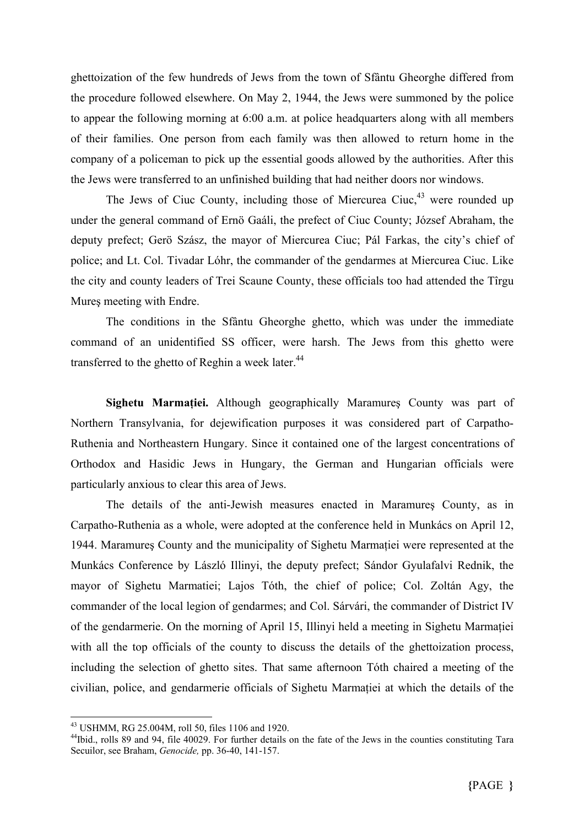ghettoization of the few hundreds of Jews from the town of Sfântu Gheorghe differed from the procedure followed elsewhere. On May 2, 1944, the Jews were summoned by the police to appear the following morning at 6:00 a.m. at police headquarters along with all members of their families. One person from each family was then allowed to return home in the company of a policeman to pick up the essential goods allowed by the authorities. After this the Jews were transferred to an unfinished building that had neither doors nor windows.

The Jews of Ciuc County, including those of Miercurea Ciuc,  $43$  were rounded up under the general command of Ernö Gaáli, the prefect of Ciuc County; József Abraham, the deputy prefect; Gerö Szász, the mayor of Miercurea Ciuc; Pál Farkas, the city's chief of police; and Lt. Col. Tivadar Lóhr, the commander of the gendarmes at Miercurea Ciuc. Like the city and county leaders of Trei Scaune County, these officials too had attended the Tîrgu Mureş meeting with Endre.

The conditions in the Sfântu Gheorghe ghetto, which was under the immediate command of an unidentified SS officer, were harsh. The Jews from this ghetto were transferred to the ghetto of Reghin a week later.<sup>[44](#page-26-1)</sup>

**Sighetu Marmatiei.** Although geographically Maramures County was part of Northern Transylvania, for dejewification purposes it was considered part of Carpatho-Ruthenia and Northeastern Hungary. Since it contained one of the largest concentrations of Orthodox and Hasidic Jews in Hungary, the German and Hungarian officials were particularly anxious to clear this area of Jews.

The details of the anti-Jewish measures enacted in Maramureş County, as in Carpatho-Ruthenia as a whole, were adopted at the conference held in Munkács on April 12, 1944. Maramureş County and the municipality of Sighetu Marmaţiei were represented at the Munkács Conference by László Illinyi, the deputy prefect; Sándor Gyulafalvi Rednik, the mayor of Sighetu Marmatiei; Lajos Tóth, the chief of police; Col. Zoltán Agy, the commander of the local legion of gendarmes; and Col. Sárvári, the commander of District IV of the gendarmerie. On the morning of April 15, Illinyi held a meeting in Sighetu Marmaţiei with all the top officials of the county to discuss the details of the ghettoization process, including the selection of ghetto sites. That same afternoon Tóth chaired a meeting of the civilian, police, and gendarmerie officials of Sighetu Marmatiei at which the details of the

<span id="page-26-0"></span><sup>&</sup>lt;sup>43</sup> USHMM, RG 25.004M, roll 50, files 1106 and 1920.

<span id="page-26-1"></span><sup>&</sup>lt;sup>44</sup>Ibid., rolls 89 and 94, file 40029. For further details on the fate of the Jews in the counties constituting Tara Secuilor, see Braham, *Genocide,* pp. 36-40, 141-157.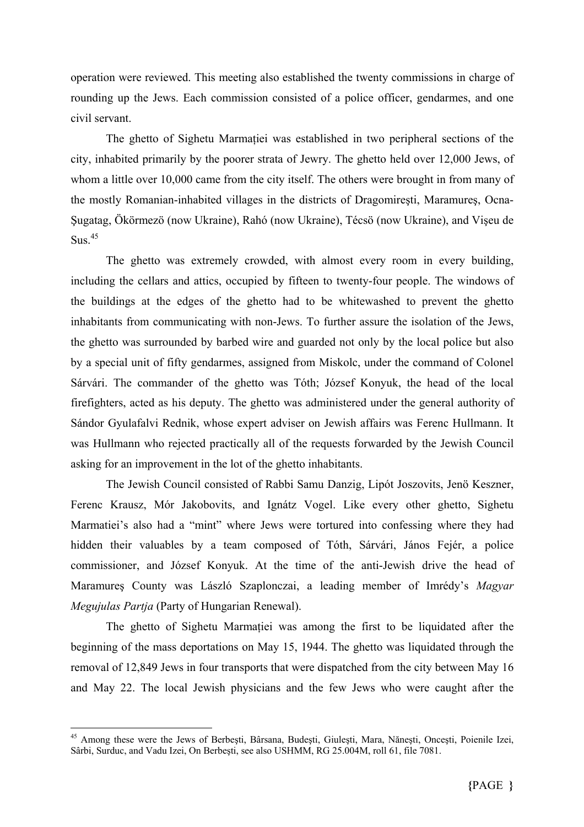operation were reviewed. This meeting also established the twenty commissions in charge of rounding up the Jews. Each commission consisted of a police officer, gendarmes, and one civil servant.

The ghetto of Sighetu Marmaţiei was established in two peripheral sections of the city, inhabited primarily by the poorer strata of Jewry. The ghetto held over 12,000 Jews, of whom a little over 10,000 came from the city itself. The others were brought in from many of the mostly Romanian-inhabited villages in the districts of Dragomireşti, Maramureş, Ocna-Şugatag, Ökörmezö (now Ukraine), Rahó (now Ukraine), Técsö (now Ukraine), and Vişeu de  $S<sub>us</sub>$ <sup>45</sup>

The ghetto was extremely crowded, with almost every room in every building, including the cellars and attics, occupied by fifteen to twenty-four people. The windows of the buildings at the edges of the ghetto had to be whitewashed to prevent the ghetto inhabitants from communicating with non-Jews. To further assure the isolation of the Jews, the ghetto was surrounded by barbed wire and guarded not only by the local police but also by a special unit of fifty gendarmes, assigned from Miskolc, under the command of Colonel Sárvári. The commander of the ghetto was Tóth; József Konyuk, the head of the local firefighters, acted as his deputy. The ghetto was administered under the general authority of Sándor Gyulafalvi Rednik, whose expert adviser on Jewish affairs was Ferenc Hullmann. It was Hullmann who rejected practically all of the requests forwarded by the Jewish Council asking for an improvement in the lot of the ghetto inhabitants.

The Jewish Council consisted of Rabbi Samu Danzig, Lipót Joszovits, Jenö Keszner, Ferenc Krausz, Mór Jakobovits, and Ignátz Vogel. Like every other ghetto, Sighetu Marmatiei's also had a "mint" where Jews were tortured into confessing where they had hidden their valuables by a team composed of Tóth, Sárvári, János Fejér, a police commissioner, and József Konyuk. At the time of the anti-Jewish drive the head of Maramureş County was László Szaplonczai, a leading member of Imrédy's *Magyar Megujulas Partja* (Party of Hungarian Renewal).

The ghetto of Sighetu Marmatiei was among the first to be liquidated after the beginning of the mass deportations on May 15, 1944. The ghetto was liquidated through the removal of 12,849 Jews in four transports that were dispatched from the city between May 16 and May 22. The local Jewish physicians and the few Jews who were caught after the

<span id="page-27-0"></span><sup>45</sup> Among these were the Jews of Berbeşti, Bârsana, Budeşti, Giuleşti, Mara, Năneşti, Onceşti, Poienile Izei, Sârbi, Surduc, and Vadu Izei, On Berbeşti, see also USHMM, RG 25.004M, roll 61, file 7081.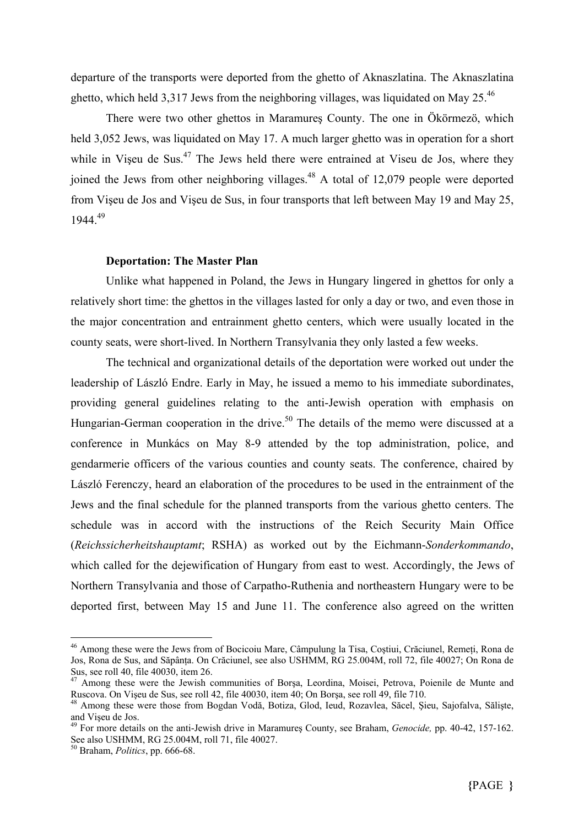departure of the transports were deported from the ghetto of Aknaszlatina. The Aknaszlatina ghetto, which held 3,317 Jews from the neighboring villages, was liquidated on May  $25^{46}$  $25^{46}$  $25^{46}$ 

There were two other ghettos in Maramureş County. The one in Ökörmezö, which held 3,052 Jews, was liquidated on May 17. A much larger ghetto was in operation for a short while in Viseu de Sus. $47$  The Jews held there were entrained at Viseu de Jos, where they joined the Jews from other neighboring villages.<sup>48</sup> A total of  $12,079$  people were deported from Vişeu de Jos and Vişeu de Sus, in four transports that left between May 19 and May 25, 1944.<sup>49</sup>

#### **Deportation: The Master Plan**

Unlike what happened in Poland, the Jews in Hungary lingered in ghettos for only a relatively short time: the ghettos in the villages lasted for only a day or two, and even those in the major concentration and entrainment ghetto centers, which were usually located in the county seats, were short-lived. In Northern Transylvania they only lasted a few weeks.

The technical and organizational details of the deportation were worked out under the leadership of László Endre. Early in May, he issued a memo to his immediate subordinates, providing general guidelines relating to the anti-Jewish operation with emphasis on Hungarian-German cooperation in the drive.<sup>50</sup> The details of the memo were discussed at a conference in Munkács on May 8-9 attended by the top administration, police, and gendarmerie officers of the various counties and county seats. The conference, chaired by László Ferenczy, heard an elaboration of the procedures to be used in the entrainment of the Jews and the final schedule for the planned transports from the various ghetto centers. The schedule was in accord with the instructions of the Reich Security Main Office (*Reichssicherheitshauptamt*; RSHA) as worked out by the Eichmann-*Sonderkommando*, which called for the dejewification of Hungary from east to west. Accordingly, the Jews of Northern Transylvania and those of Carpatho-Ruthenia and northeastern Hungary were to be deported first, between May 15 and June 11. The conference also agreed on the written

<span id="page-28-0"></span><sup>&</sup>lt;sup>46</sup> Among these were the Jews from of Bocicoiu Mare, Câmpulung la Tisa, Coștiui, Crăciunel, Remeți, Rona de Jos, Rona de Sus, and Săpânţa. On Crăciunel, see also USHMM, RG 25.004M, roll 72, file 40027; On Rona de

<span id="page-28-1"></span>Sus, see roll 40, file 40030, item 26.<br><sup>47</sup> Among these were the Jewish communities of Borșa, Leordina, Moisei, Petrova, Poienile de Munte and<br>Ruscova. On Viseu de Sus, see roll 42, file 40030, item 40; On Borsa, see roll

<span id="page-28-2"></span><sup>&</sup>lt;sup>48</sup> Among these were those from Bogdan Vodă, Botiza, Glod, Ieud, Rozavlea, Săcel, Șieu, Sajofalva, Săliște, and Viseu de Jos.

<span id="page-28-3"></span><sup>&</sup>lt;sup>49</sup> For more details on the anti-Jewish drive in Maramures County, see Braham, *Genocide*, pp. 40-42, 157-162. See also USHMM, RG 25.004M, roll 71, file 40027. 50 Braham, *Politics*, pp. 666-68.

<span id="page-28-4"></span>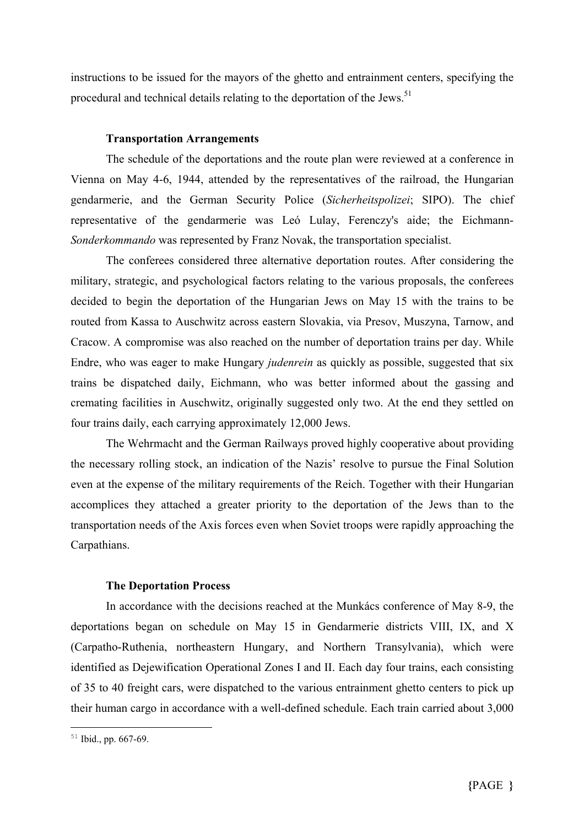instructions to be issued for the mayors of the ghetto and entrainment centers, specifying the procedural and technical details relating to the deportation of the Jews.<sup>51</sup>

#### **Transportation Arrangements**

The schedule of the deportations and the route plan were reviewed at a conference in Vienna on May 4-6, 1944, attended by the representatives of the railroad, the Hungarian gendarmerie, and the German Security Police (*Sicherheitspolizei*; SIPO). The chief representative of the gendarmerie was Leó Lulay, Ferenczy's aide; the Eichmann-*Sonderkommando* was represented by Franz Novak, the transportation specialist.

The conferees considered three alternative deportation routes. After considering the military, strategic, and psychological factors relating to the various proposals, the conferees decided to begin the deportation of the Hungarian Jews on May 15 with the trains to be routed from Kassa to Auschwitz across eastern Slovakia, via Presov, Muszyna, Tarnow, and Cracow. A compromise was also reached on the number of deportation trains per day. While Endre, who was eager to make Hungary *judenrein* as quickly as possible, suggested that six trains be dispatched daily, Eichmann, who was better informed about the gassing and cremating facilities in Auschwitz, originally suggested only two. At the end they settled on four trains daily, each carrying approximately 12,000 Jews.

The Wehrmacht and the German Railways proved highly cooperative about providing the necessary rolling stock, an indication of the Nazis' resolve to pursue the Final Solution even at the expense of the military requirements of the Reich. Together with their Hungarian accomplices they attached a greater priority to the deportation of the Jews than to the transportation needs of the Axis forces even when Soviet troops were rapidly approaching the Carpathians.

# **The Deportation Process**

In accordance with the decisions reached at the Munkács conference of May 8-9, the deportations began on schedule on May 15 in Gendarmerie districts VIII, IX, and X (Carpatho-Ruthenia, northeastern Hungary, and Northern Transylvania), which were identified as Dejewification Operational Zones I and II. Each day four trains, each consisting of 35 to 40 freight cars, were dispatched to the various entrainment ghetto centers to pick up their human cargo in accordance with a well-defined schedule. Each train carried about 3,000

<span id="page-29-0"></span> $51$  Ibid., pp. 667-69.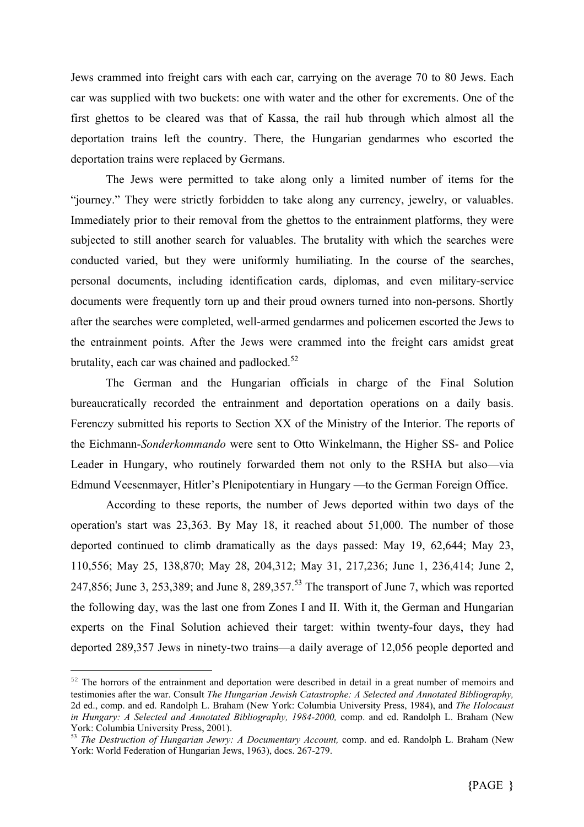Jews crammed into freight cars with each car, carrying on the average 70 to 80 Jews. Each car was supplied with two buckets: one with water and the other for excrements. One of the first ghettos to be cleared was that of Kassa, the rail hub through which almost all the deportation trains left the country. There, the Hungarian gendarmes who escorted the deportation trains were replaced by Germans.

The Jews were permitted to take along only a limited number of items for the "journey." They were strictly forbidden to take along any currency, jewelry, or valuables. Immediately prior to their removal from the ghettos to the entrainment platforms, they were subjected to still another search for valuables. The brutality with which the searches were conducted varied, but they were uniformly humiliating. In the course of the searches, personal documents, including identification cards, diplomas, and even military-service documents were frequently torn up and their proud owners turned into non-persons. Shortly after the searches were completed, well-armed gendarmes and policemen escorted the Jews to the entrainment points. After the Jews were crammed into the freight cars amidst great brutality, each car was chained and padlocked. $52$ 

The German and the Hungarian officials in charge of the Final Solution bureaucratically recorded the entrainment and deportation operations on a daily basis. Ferenczy submitted his reports to Section XX of the Ministry of the Interior. The reports of the Eichmann-*Sonderkommando* were sent to Otto Winkelmann, the Higher SS- and Police Leader in Hungary, who routinely forwarded them not only to the RSHA but also—via Edmund Veesenmayer, Hitler's Plenipotentiary in Hungary —to the German Foreign Office.

According to these reports, the number of Jews deported within two days of the operation's start was 23,363. By May 18, it reached about 51,000. The number of those deported continued to climb dramatically as the days passed: May 19, 62,644; May 23, 110,556; May 25, 138,870; May 28, 204,312; May 31, 217,236; June 1, 236,414; June 2, 247,856; June 3, 253,389; and June 8, 289,357.<sup>53</sup> The transport of June 7, which was reported the following day, was the last one from Zones I and II. With it, the German and Hungarian experts on the Final Solution achieved their target: within twenty-four days, they had deported 289,357 Jews in ninety-two trains—a daily average of 12,056 people deported and

<span id="page-30-0"></span><sup>&</sup>lt;sup>52</sup> The horrors of the entrainment and deportation were described in detail in a great number of memoirs and testimonies after the war. Consult *The Hungarian Jewish Catastrophe: A Selected and Annotated Bibliography,*  2d ed., comp. and ed. Randolph L. Braham (New York: Columbia University Press, 1984), and *The Holocaust in Hungary: A Selected and Annotated Bibliography, 1984-2000, comp. and ed. Randolph L. Braham (New York: Columbia University Press, 2001).* 

<span id="page-30-1"></span><sup>&</sup>lt;sup>53</sup> The Destruction of *Hungarian Jewry: A Documentary Account*, comp. and ed. Randolph L. Braham (New York: World Federation of Hungarian Jews, 1963), docs. 267-279.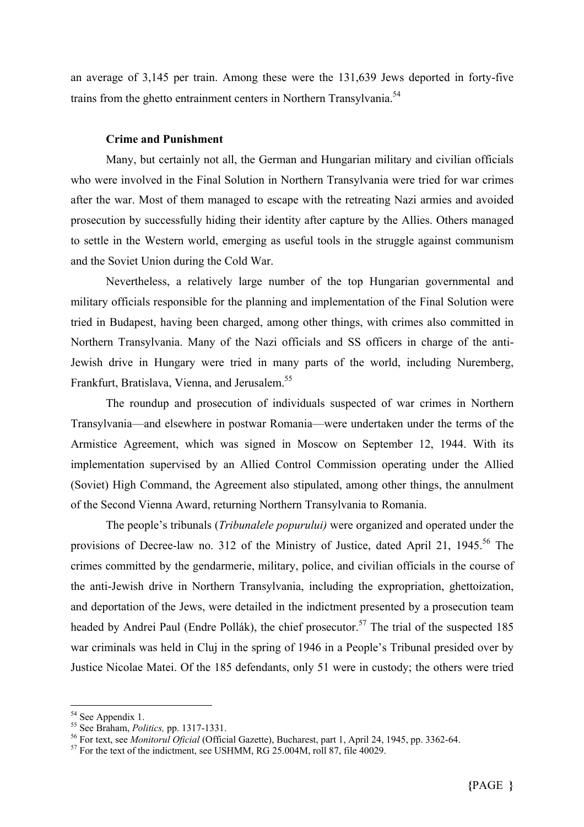an average of 3,145 per train. Among these were the 131,639 Jews deported in forty-five trains from the ghetto entrainment centers in Northern Transylvania.<sup>[54](#page-31-0)</sup>

# **Crime and Punishment**

Many, but certainly not all, the German and Hungarian military and civilian officials who were involved in the Final Solution in Northern Transylvania were tried for war crimes after the war. Most of them managed to escape with the retreating Nazi armies and avoided prosecution by successfully hiding their identity after capture by the Allies. Others managed to settle in the Western world, emerging as useful tools in the struggle against communism and the Soviet Union during the Cold War.

Nevertheless, a relatively large number of the top Hungarian governmental and military officials responsible for the planning and implementation of the Final Solution were tried in Budapest, having been charged, among other things, with crimes also committed in Northern Transylvania. Many of the Nazi officials and SS officers in charge of the anti-Jewish drive in Hungary were tried in many parts of the world, including Nuremberg, Frankfurt, Bratislava, Vienna, and Jerusalem. [55](#page-31-1) 

The roundup and prosecution of individuals suspected of war crimes in Northern Transylvania—and elsewhere in postwar Romania—were undertaken under the terms of the Armistice Agreement, which was signed in Moscow on September 12, 1944. With its implementation supervised by an Allied Control Commission operating under the Allied (Soviet) High Command, the Agreement also stipulated, among other things, the annulment of the Second Vienna Award, returning Northern Transylvania to Romania.

The people's tribunals (*Tribunalele popurului)* were organized and operated under the provisions of Decree-law no. 312 of the Ministry of Justice, dated April 21, 1945.<sup>56</sup> The crimes committed by the gendarmerie, military, police, and civilian officials in the course of the anti-Jewish drive in Northern Transylvania, including the expropriation, ghettoization, and deportation of the Jews, were detailed in the indictment presented by a prosecution team headed by Andrei Paul (Endre Pollák), the chief prosecutor.<sup>57</sup> The trial of the suspected 185 war criminals was held in Cluj in the spring of 1946 in a People's Tribunal presided over by Justice Nicolae Matei. Of the 185 defendants, only 51 were in custody; the others were tried

<span id="page-31-0"></span><sup>&</sup>lt;sup>54</sup> See Appendix 1.

<span id="page-31-2"></span><span id="page-31-1"></span>

<sup>&</sup>lt;sup>55</sup> See Braham, *Politics*, pp. 1317-1331.<br>
<sup>56</sup> For text, see *Monitorul Oficial* (Official Gazette), Bucharest, part 1, April 24, 1945, pp. 3362-64.<br>
<sup>57</sup> For the text of the indictment, see USHMM, RG 25.004M, roll 87,

<span id="page-31-3"></span>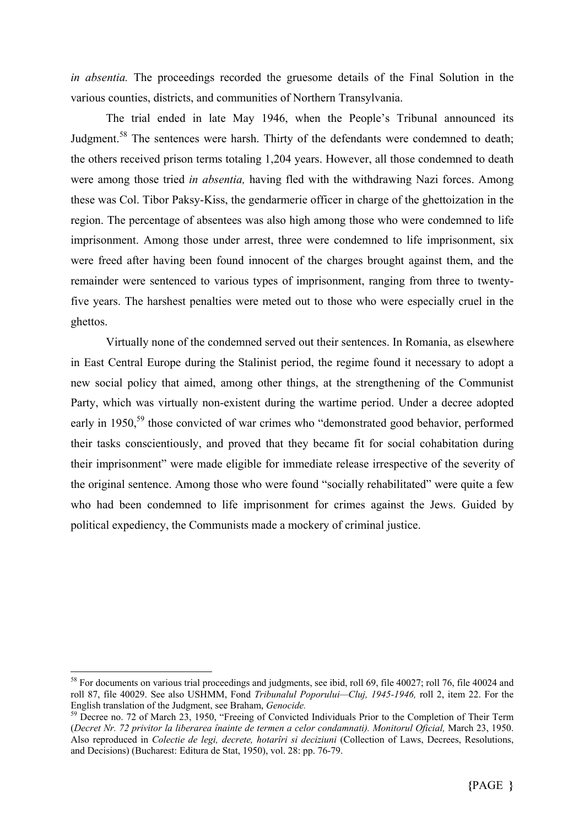*in absentia.* The proceedings recorded the gruesome details of the Final Solution in the various counties, districts, and communities of Northern Transylvania.

The trial ended in late May 1946, when the People's Tribunal announced its Judgment.<sup>58</sup> The sentences were harsh. Thirty of the defendants were condemned to death; the others received prison terms totaling 1,204 years. However, all those condemned to death were among those tried *in absentia,* having fled with the withdrawing Nazi forces. Among these was Col. Tibor Paksy-Kiss, the gendarmerie officer in charge of the ghettoization in the region. The percentage of absentees was also high among those who were condemned to life imprisonment. Among those under arrest, three were condemned to life imprisonment, six were freed after having been found innocent of the charges brought against them, and the remainder were sentenced to various types of imprisonment, ranging from three to twentyfive years. The harshest penalties were meted out to those who were especially cruel in the ghettos.

Virtually none of the condemned served out their sentences. In Romania, as elsewhere in East Central Europe during the Stalinist period, the regime found it necessary to adopt a new social policy that aimed, among other things, at the strengthening of the Communist Party, which was virtually non-existent during the wartime period. Under a decree adopted early in 1950,<sup>59</sup> those convicted of war crimes who "demonstrated good behavior, performed their tasks conscientiously, and proved that they became fit for social cohabitation during their imprisonment" were made eligible for immediate release irrespective of the severity of the original sentence. Among those who were found "socially rehabilitated" were quite a few who had been condemned to life imprisonment for crimes against the Jews. Guided by political expediency, the Communists made a mockery of criminal justice.

<span id="page-32-0"></span><sup>&</sup>lt;sup>58</sup> For documents on various trial proceedings and judgments, see ibid, roll 69, file 40027; roll 76, file 40024 and roll 87, file 40029. See also USHMM, Fond *Tribunalul Poporului—Cluj, 1945-1946,* roll 2, item 22. For the

<span id="page-32-1"></span><sup>&</sup>lt;sup>59</sup> Decree no. 72 of March 23, 1950, "Freeing of Convicted Individuals Prior to the Completion of Their Term (*Decret Nr. 72 privitor la liberarea înainte de termen a celor condamnati). Monitorul Oficial,* March 23, 1950. Also reproduced in *Colectie de legi, decrete, hotarîri si deciziuni* (Collection of Laws, Decrees, Resolutions, and Decisions) (Bucharest: Editura de Stat, 1950), vol. 28: pp. 76-79.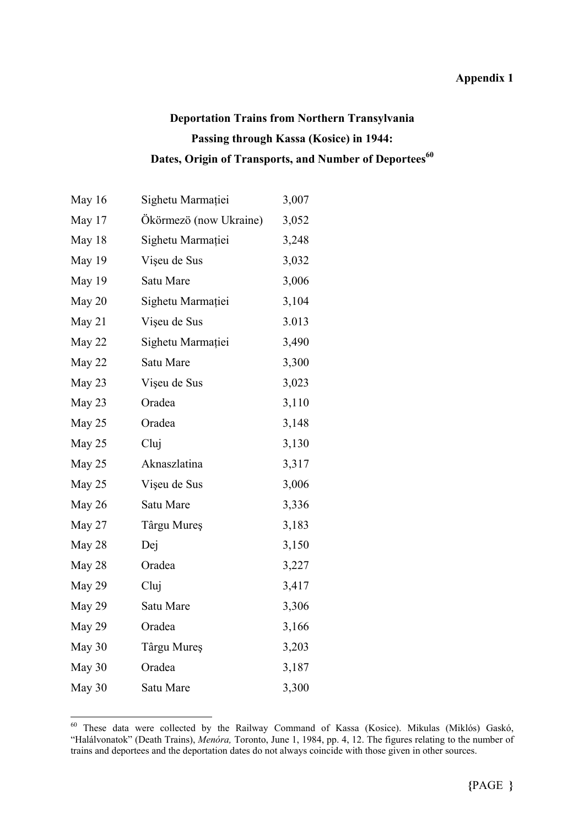# **Appendix 1**

# **Deportation Trains from Northern Transylvania Passing through Kassa (Kosice) in 1944: Dates, Origin of Transports, and Number of Deportees[60](#page-33-0)**

| May 16   | Sighetu Marmației      | 3,007 |
|----------|------------------------|-------|
| May 17   | Ökörmezö (now Ukraine) | 3,052 |
| May 18   | Sighetu Marmației      | 3,248 |
| May 19   | Vișeu de Sus           | 3,032 |
| May 19   | Satu Mare              | 3,006 |
| May $20$ | Sighetu Marmației      | 3,104 |
| May $21$ | Vișeu de Sus           | 3.013 |
| May 22   | Sighetu Marmației      | 3,490 |
| May 22   | Satu Mare              | 3,300 |
| May 23   | Vișeu de Sus           | 3,023 |
| May 23   | Oradea                 | 3,110 |
| May 25   | Oradea                 | 3,148 |
| May $25$ | Cluj                   | 3,130 |
| May 25   | Aknaszlatina           | 3,317 |
| May 25   | Vișeu de Sus           | 3,006 |
| May 26   | Satu Mare              | 3,336 |
| May 27   | Târgu Mureș            | 3,183 |
| May 28   | Dej                    | 3,150 |
| May 28   | Oradea                 | 3,227 |
| May 29   | Cluj                   | 3,417 |
| May 29   | Satu Mare              | 3,306 |
| May 29   | Oradea                 | 3,166 |
| May 30   | Târgu Mureș            | 3,203 |
| May 30   | Oradea                 | 3,187 |
| May 30   | Satu Mare              | 3,300 |

<span id="page-33-0"></span> $\overline{a}$ <sup>60</sup> These data were collected by the Railway Command of Kassa (Kosice). Mikulas (Miklós) Gaskó, "Halálvonatok" (Death Trains), *Menóra,* Toronto, June 1, 1984, pp. 4, 12. The figures relating to the number of trains and deportees and the deportation dates do not always coincide with those given in other sources.